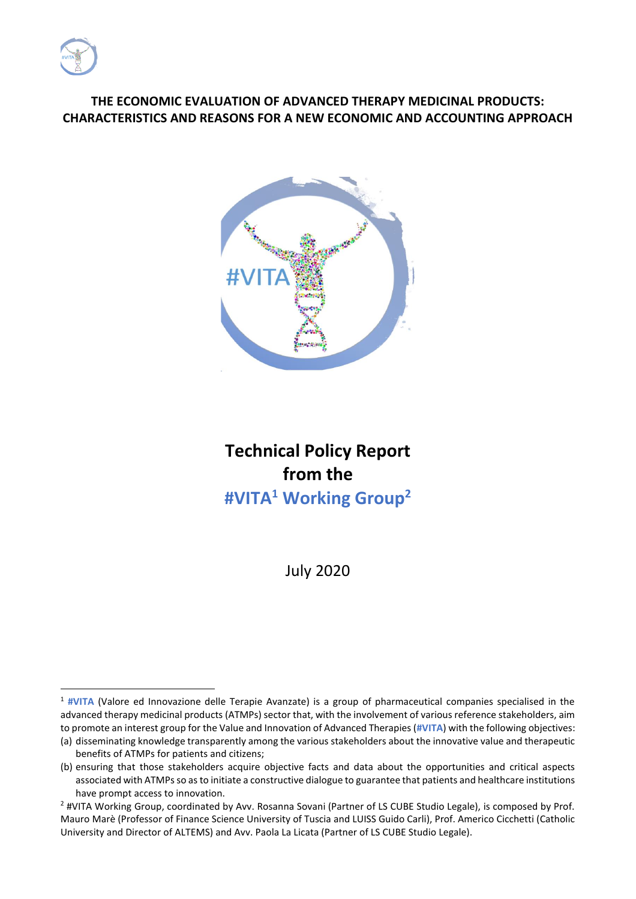

### **THE ECONOMIC EVALUATION OF ADVANCED THERAPY MEDICINAL PRODUCTS: CHARACTERISTICS AND REASONS FOR A NEW ECONOMIC AND ACCOUNTING APPROACH**



# **Technical Policy Report from the #VITA<sup>1</sup> Working Group<sup>2</sup>**

July 2020

<sup>&</sup>lt;sup>1</sup> #VITA (Valore ed Innovazione delle Terapie Avanzate) is a group of pharmaceutical companies specialised in the advanced therapy medicinal products (ATMPs) sector that, with the involvement of various reference stakeholders, aim to promote an interest group for the Value and Innovation of Advanced Therapies (**#VITA**) with the following objectives:

<sup>(</sup>a) disseminating knowledge transparently among the various stakeholders about the innovative value and therapeutic benefits of ATMPs for patients and citizens;

<sup>(</sup>b) ensuring that those stakeholders acquire objective facts and data about the opportunities and critical aspects associated with ATMPs so as to initiate a constructive dialogue to guarantee that patients and healthcare institutions have prompt access to innovation.

<sup>&</sup>lt;sup>2</sup> #VITA Working Group, coordinated by Avv. Rosanna Sovani (Partner of LS CUBE Studio Legale), is composed by Prof. Mauro Marè (Professor of Finance Science University of Tuscia and LUISS Guido Carli), Prof. Americo Cicchetti (Catholic University and Director of ALTEMS) and Avv. Paola La Licata (Partner of LS CUBE Studio Legale).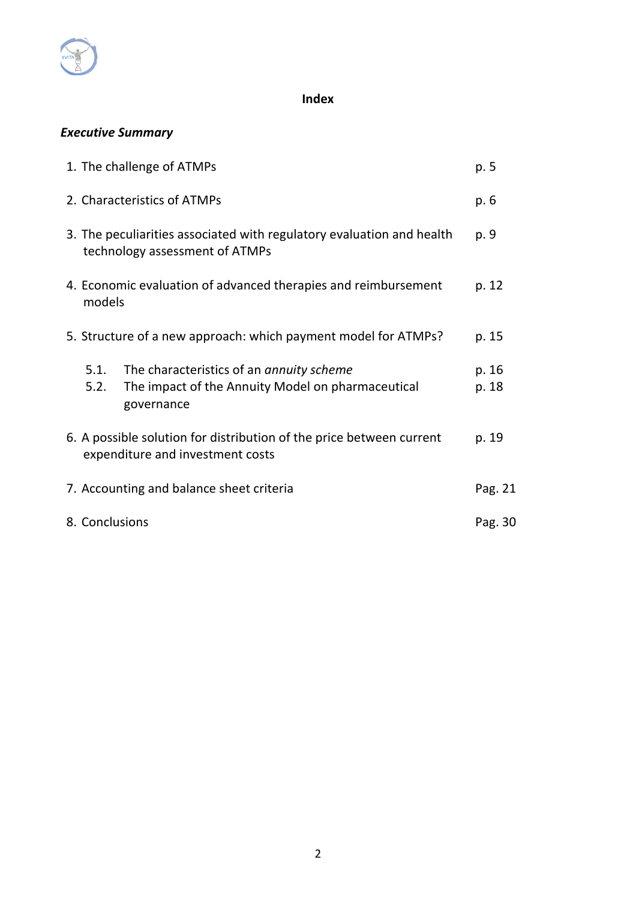

### **Index**

## *Executive Summary*

|                                                                          | 1. The challenge of ATMPs                                                                               |                                                                                                             |                |  |  |
|--------------------------------------------------------------------------|---------------------------------------------------------------------------------------------------------|-------------------------------------------------------------------------------------------------------------|----------------|--|--|
|                                                                          | 2. Characteristics of ATMPs                                                                             |                                                                                                             |                |  |  |
|                                                                          | 3. The peculiarities associated with regulatory evaluation and health<br>technology assessment of ATMPs |                                                                                                             |                |  |  |
| 4. Economic evaluation of advanced therapies and reimbursement<br>models |                                                                                                         |                                                                                                             |                |  |  |
|                                                                          | 5. Structure of a new approach: which payment model for ATMPs?                                          |                                                                                                             |                |  |  |
|                                                                          | 5.1.<br>5.2.                                                                                            | The characteristics of an annuity scheme<br>The impact of the Annuity Model on pharmaceutical<br>governance | p. 16<br>p. 18 |  |  |
|                                                                          |                                                                                                         | 6. A possible solution for distribution of the price between current<br>expenditure and investment costs    | p. 19          |  |  |
|                                                                          |                                                                                                         | 7. Accounting and balance sheet criteria                                                                    | Pag. 21        |  |  |
| 8. Conclusions                                                           |                                                                                                         |                                                                                                             | Pag. 30        |  |  |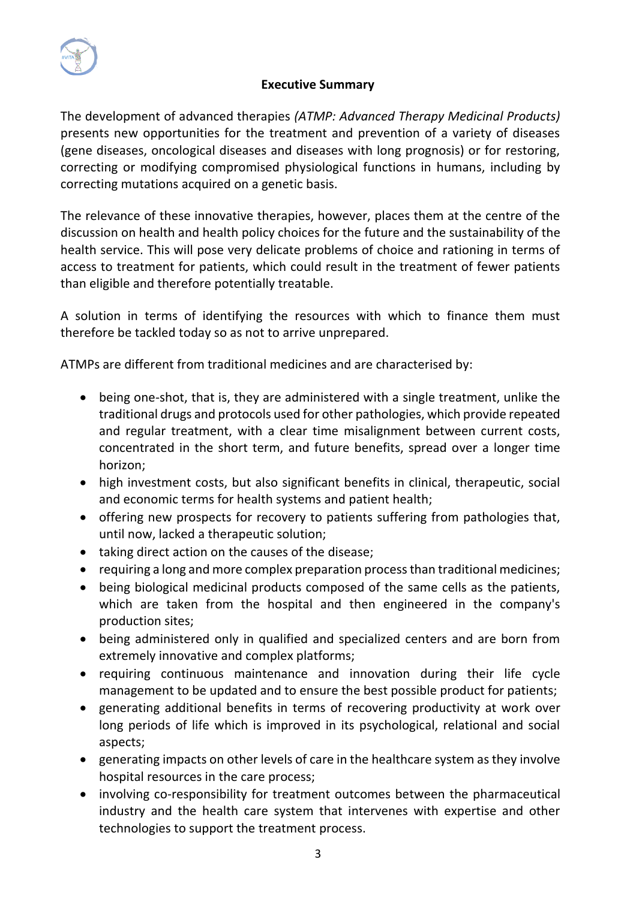

### **Executive Summary**

The development of advanced therapies *(ATMP: Advanced Therapy Medicinal Products)*  presents new opportunities for the treatment and prevention of a variety of diseases (gene diseases, oncological diseases and diseases with long prognosis) or for restoring, correcting or modifying compromised physiological functions in humans, including by correcting mutations acquired on a genetic basis.

The relevance of these innovative therapies, however, places them at the centre of the discussion on health and health policy choices for the future and the sustainability of the health service. This will pose very delicate problems of choice and rationing in terms of access to treatment for patients, which could result in the treatment of fewer patients than eligible and therefore potentially treatable.

A solution in terms of identifying the resources with which to finance them must therefore be tackled today so as not to arrive unprepared.

ATMPs are different from traditional medicines and are characterised by:

- being one-shot, that is, they are administered with a single treatment, unlike the traditional drugs and protocols used for other pathologies, which provide repeated and regular treatment, with a clear time misalignment between current costs, concentrated in the short term, and future benefits, spread over a longer time horizon;
- high investment costs, but also significant benefits in clinical, therapeutic, social and economic terms for health systems and patient health;
- offering new prospects for recovery to patients suffering from pathologies that, until now, lacked a therapeutic solution;
- taking direct action on the causes of the disease;
- requiring a long and more complex preparation process than traditional medicines;
- being biological medicinal products composed of the same cells as the patients, which are taken from the hospital and then engineered in the company's production sites;
- being administered only in qualified and specialized centers and are born from extremely innovative and complex platforms;
- requiring continuous maintenance and innovation during their life cycle management to be updated and to ensure the best possible product for patients;
- generating additional benefits in terms of recovering productivity at work over long periods of life which is improved in its psychological, relational and social aspects;
- generating impacts on other levels of care in the healthcare system as they involve hospital resources in the care process;
- involving co-responsibility for treatment outcomes between the pharmaceutical industry and the health care system that intervenes with expertise and other technologies to support the treatment process.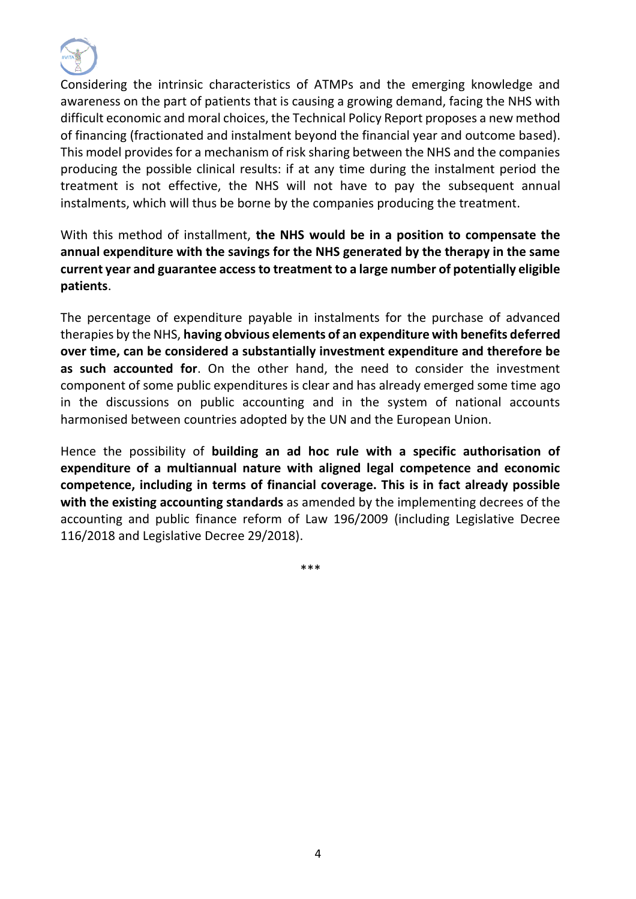

Considering the intrinsic characteristics of ATMPs and the emerging knowledge and awareness on the part of patients that is causing a growing demand, facing the NHS with difficult economic and moral choices, the Technical Policy Report proposes a new method of financing (fractionated and instalment beyond the financial year and outcome based). This model provides for a mechanism of risk sharing between the NHS and the companies producing the possible clinical results: if at any time during the instalment period the treatment is not effective, the NHS will not have to pay the subsequent annual instalments, which will thus be borne by the companies producing the treatment.

With this method of installment, **the NHS would be in a position to compensate the annual expenditure with the savings for the NHS generated by the therapy in the same current year and guarantee access to treatment to a large number of potentially eligible patients**.

The percentage of expenditure payable in instalments for the purchase of advanced therapies by the NHS, **having obvious elements of an expenditure with benefits deferred over time, can be considered a substantially investment expenditure and therefore be as such accounted for**. On the other hand, the need to consider the investment component of some public expenditures is clear and has already emerged some time ago in the discussions on public accounting and in the system of national accounts harmonised between countries adopted by the UN and the European Union.

Hence the possibility of **building an ad hoc rule with a specific authorisation of expenditure of a multiannual nature with aligned legal competence and economic competence, including in terms of financial coverage. This is in fact already possible with the existing accounting standards** as amended by the implementing decrees of the accounting and public finance reform of Law 196/2009 (including Legislative Decree 116/2018 and Legislative Decree 29/2018).

\*\*\*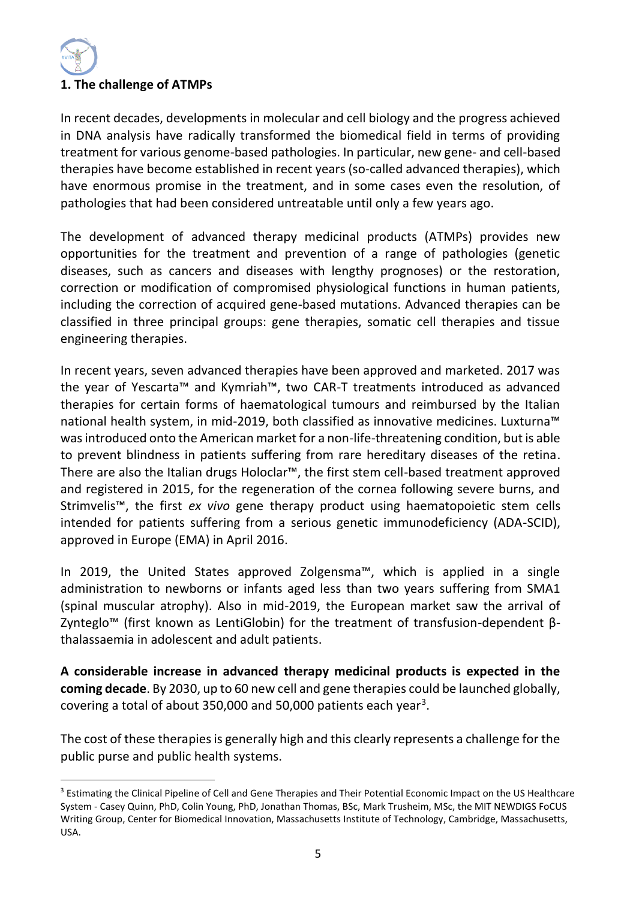### **1. The challenge of ATMPs**

In recent decades, developments in molecular and cell biology and the progress achieved in DNA analysis have radically transformed the biomedical field in terms of providing treatment for various genome-based pathologies. In particular, new gene- and cell-based therapies have become established in recent years (so-called advanced therapies), which have enormous promise in the treatment, and in some cases even the resolution, of pathologies that had been considered untreatable until only a few years ago.

The development of advanced therapy medicinal products (ATMPs) provides new opportunities for the treatment and prevention of a range of pathologies (genetic diseases, such as cancers and diseases with lengthy prognoses) or the restoration, correction or modification of compromised physiological functions in human patients, including the correction of acquired gene-based mutations. Advanced therapies can be classified in three principal groups: gene therapies, somatic cell therapies and tissue engineering therapies.

In recent years, seven advanced therapies have been approved and marketed. 2017 was the year of Yescarta™ and Kymriah™, two CAR-T treatments introduced as advanced therapies for certain forms of haematological tumours and reimbursed by the Italian national health system, in mid-2019, both classified as innovative medicines. Luxturna™ was introduced onto the American market for a non-life-threatening condition, but is able to prevent blindness in patients suffering from rare hereditary diseases of the retina. There are also the Italian drugs Holoclar™, the first stem cell-based treatment approved and registered in 2015, for the regeneration of the cornea following severe burns, and Strimvelis™, the first *ex vivo* gene therapy product using haematopoietic stem cells intended for patients suffering from a serious genetic immunodeficiency (ADA-SCID), approved in Europe (EMA) in April 2016.

In 2019, the United States approved Zolgensma™, which is applied in a single administration to newborns or infants aged less than two years suffering from SMA1 (spinal muscular atrophy). Also in mid-2019, the European market saw the arrival of Zynteglo™ (first known as LentiGlobin) for the treatment of transfusion-dependent βthalassaemia in adolescent and adult patients.

**A considerable increase in advanced therapy medicinal products is expected in the coming decade**. By 2030, up to 60 new cell and gene therapies could be launched globally, covering a total of about 350,000 and 50,000 patients each year<sup>3</sup>.

The cost of these therapies is generally high and this clearly represents a challenge for the public purse and public health systems.

<sup>&</sup>lt;sup>3</sup> Estimating the Clinical Pipeline of Cell and Gene Therapies and Their Potential Economic Impact on the US Healthcare System - Casey Quinn, PhD, Colin Young, PhD, Jonathan Thomas, BSc, Mark Trusheim, MSc, the MIT NEWDIGS FoCUS Writing Group, Center for Biomedical Innovation, Massachusetts Institute of Technology, Cambridge, Massachusetts, USA.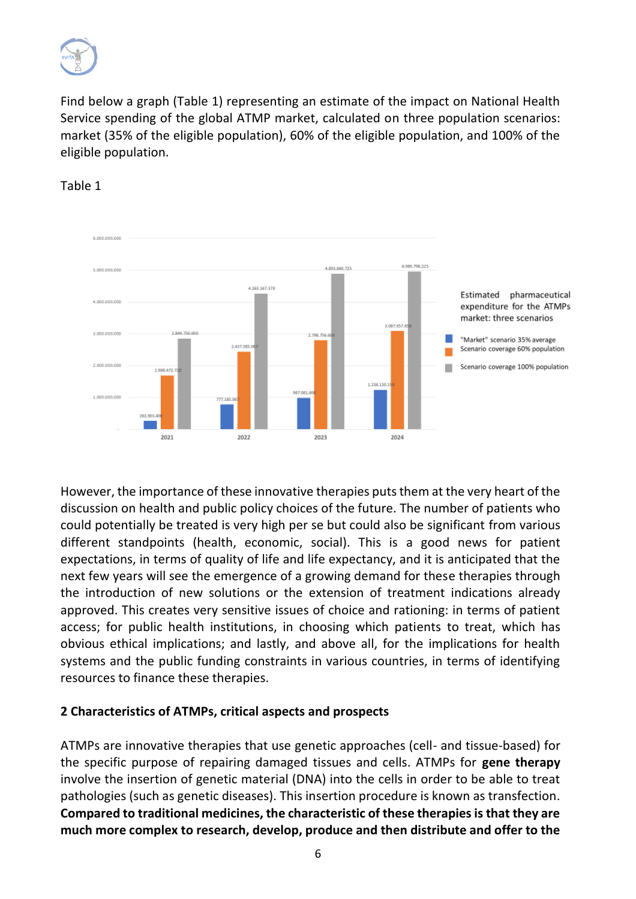

Find below a graph (Table 1) representing an estimate of the impact on National Health Service spending of the global ATMP market, calculated on three population scenarios: market (35% of the eligible population), 60% of the eligible population, and 100% of the eligible population.



### Table 1

However, the importance of these innovative therapies puts them at the very heart of the discussion on health and public policy choices of the future. The number of patients who could potentially be treated is very high per se but could also be significant from various different standpoints (health, economic, social). This is a good news for patient expectations, in terms of quality of life and life expectancy, and it is anticipated that the next few years will see the emergence of a growing demand for these therapies through the introduction of new solutions or the extension of treatment indications already approved. This creates very sensitive issues of choice and rationing: in terms of patient access; for public health institutions, in choosing which patients to treat, which has obvious ethical implications; and lastly, and above all, for the implications for health systems and the public funding constraints in various countries, in terms of identifying resources to finance these therapies.

### **2 Characteristics of ATMPs, critical aspects and prospects**

ATMPs are innovative therapies that use genetic approaches (cell- and tissue-based) for the specific purpose of repairing damaged tissues and cells. ATMPs for **gene therapy** involve the insertion of genetic material (DNA) into the cells in order to be able to treat pathologies (such as genetic diseases). This insertion procedure is known as transfection. **Compared to traditional medicines, the characteristic of these therapies is that they are much more complex to research, develop, produce and then distribute and offer to the**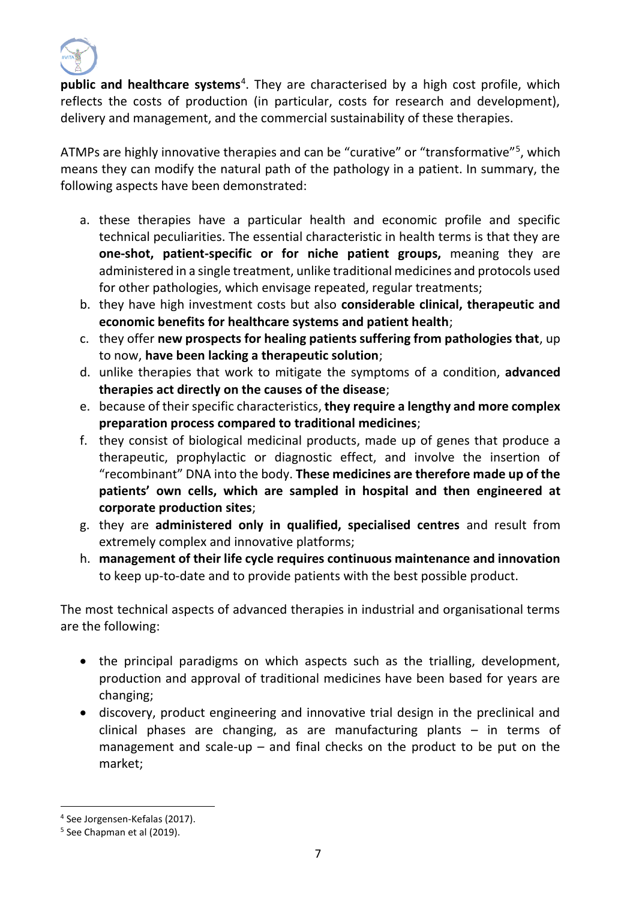

**public and healthcare systems**<sup>4</sup> . They are characterised by a high cost profile, which reflects the costs of production (in particular, costs for research and development), delivery and management, and the commercial sustainability of these therapies.

ATMPs are highly innovative therapies and can be "curative" or "transformative"<sup>5</sup>, which means they can modify the natural path of the pathology in a patient. In summary, the following aspects have been demonstrated:

- a. these therapies have a particular health and economic profile and specific technical peculiarities. The essential characteristic in health terms is that they are **one-shot, patient-specific or for niche patient groups,** meaning they are administered in a single treatment, unlike traditional medicines and protocols used for other pathologies, which envisage repeated, regular treatments;
- b. they have high investment costs but also **considerable clinical, therapeutic and economic benefits for healthcare systems and patient health**;
- c. they offer **new prospects for healing patients suffering from pathologies that**, up to now, **have been lacking a therapeutic solution**;
- d. unlike therapies that work to mitigate the symptoms of a condition, **advanced therapies act directly on the causes of the disease**;
- e. because of their specific characteristics, **they require a lengthy and more complex preparation process compared to traditional medicines**;
- f. they consist of biological medicinal products, made up of genes that produce a therapeutic, prophylactic or diagnostic effect, and involve the insertion of "recombinant" DNA into the body. **These medicines are therefore made up of the patients' own cells, which are sampled in hospital and then engineered at corporate production sites**;
- g. they are **administered only in qualified, specialised centres** and result from extremely complex and innovative platforms;
- h. **management of their life cycle requires continuous maintenance and innovation** to keep up-to-date and to provide patients with the best possible product.

The most technical aspects of advanced therapies in industrial and organisational terms are the following:

- the principal paradigms on which aspects such as the trialling, development, production and approval of traditional medicines have been based for years are changing;
- discovery, product engineering and innovative trial design in the preclinical and clinical phases are changing, as are manufacturing plants – in terms of management and scale-up  $-$  and final checks on the product to be put on the market;

<sup>4</sup> See Jorgensen-Kefalas (2017).

<sup>5</sup> See Chapman et al (2019).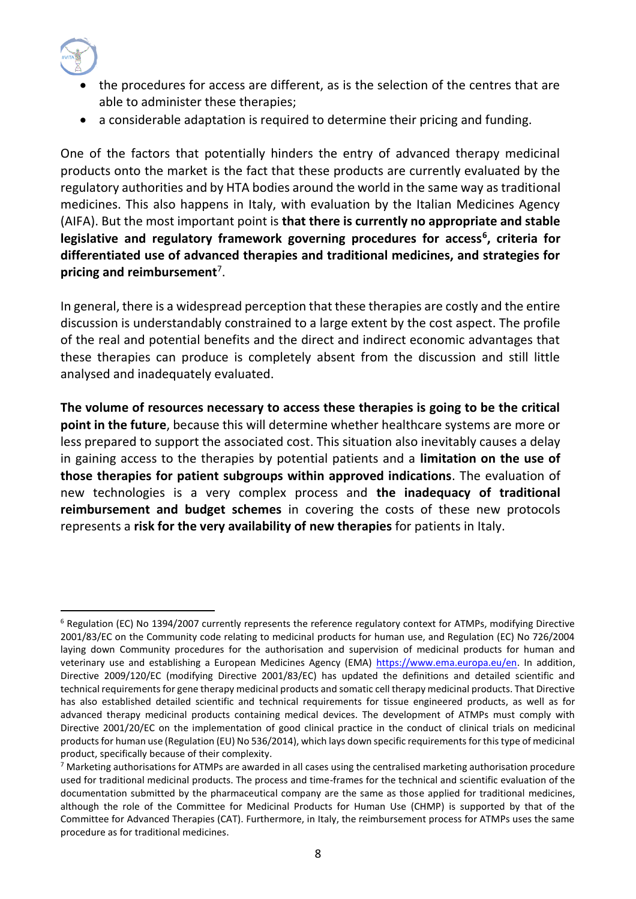

- the procedures for access are different, as is the selection of the centres that are able to administer these therapies;
- a considerable adaptation is required to determine their pricing and funding.

One of the factors that potentially hinders the entry of advanced therapy medicinal products onto the market is the fact that these products are currently evaluated by the regulatory authorities and by HTA bodies around the world in the same way as traditional medicines. This also happens in Italy, with evaluation by the Italian Medicines Agency (AIFA). But the most important point is **that there is currently no appropriate and stable legislative and regulatory framework governing procedures for access<sup>6</sup> , criteria for differentiated use of advanced therapies and traditional medicines, and strategies for pricing and reimbursement**<sup>7</sup> .

In general, there is a widespread perception that these therapies are costly and the entire discussion is understandably constrained to a large extent by the cost aspect. The profile of the real and potential benefits and the direct and indirect economic advantages that these therapies can produce is completely absent from the discussion and still little analysed and inadequately evaluated.

**The volume of resources necessary to access these therapies is going to be the critical point in the future**, because this will determine whether healthcare systems are more or less prepared to support the associated cost. This situation also inevitably causes a delay in gaining access to the therapies by potential patients and a **limitation on the use of those therapies for patient subgroups within approved indications**. The evaluation of new technologies is a very complex process and **the inadequacy of traditional reimbursement and budget schemes** in covering the costs of these new protocols represents a **risk for the very availability of new therapies** for patients in Italy.

<sup>6</sup> Regulation (EC) No 1394/2007 currently represents the reference regulatory context for ATMPs, modifying Directive 2001/83/EC on the Community code relating to medicinal products for human use, and Regulation (EC) No 726/2004 laying down Community procedures for the authorisation and supervision of medicinal products for human and veterinary use and establishing a European Medicines Agency (EMA) [https://www.ema.europa.eu/en.](https://www.ema.europa.eu/en) In addition, Directive 2009/120/EC (modifying Directive 2001/83/EC) has updated the definitions and detailed scientific and technical requirements for gene therapy medicinal products and somatic cell therapy medicinal products. That Directive has also established detailed scientific and technical requirements for tissue engineered products, as well as for advanced therapy medicinal products containing medical devices. The development of ATMPs must comply with Directive 2001/20/EC on the implementation of good clinical practice in the conduct of clinical trials on medicinal products for human use (Regulation (EU) No 536/2014), which lays down specific requirements for this type of medicinal product, specifically because of their complexity.

 $7$  Marketing authorisations for ATMPs are awarded in all cases using the centralised marketing authorisation procedure used for traditional medicinal products. The process and time-frames for the technical and scientific evaluation of the documentation submitted by the pharmaceutical company are the same as those applied for traditional medicines, although the role of the Committee for Medicinal Products for Human Use (CHMP) is supported by that of the Committee for Advanced Therapies (CAT). Furthermore, in Italy, the reimbursement process for ATMPs uses the same procedure as for traditional medicines.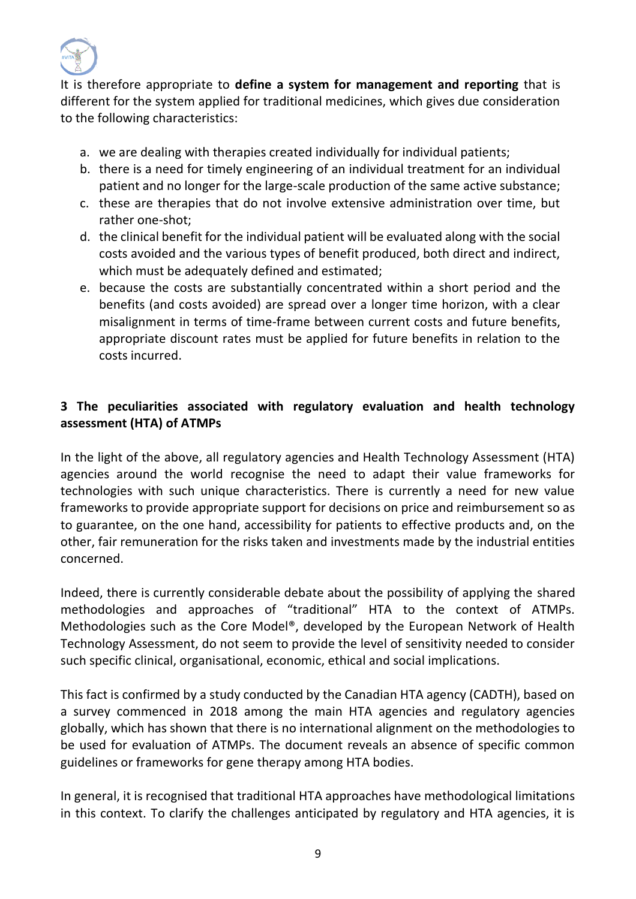

It is therefore appropriate to **define a system for management and reporting** that is different for the system applied for traditional medicines, which gives due consideration to the following characteristics:

- a. we are dealing with therapies created individually for individual patients;
- b. there is a need for timely engineering of an individual treatment for an individual patient and no longer for the large-scale production of the same active substance;
- c. these are therapies that do not involve extensive administration over time, but rather one-shot;
- d. the clinical benefit for the individual patient will be evaluated along with the social costs avoided and the various types of benefit produced, both direct and indirect, which must be adequately defined and estimated;
- e. because the costs are substantially concentrated within a short period and the benefits (and costs avoided) are spread over a longer time horizon, with a clear misalignment in terms of time-frame between current costs and future benefits, appropriate discount rates must be applied for future benefits in relation to the costs incurred.

### **3 The peculiarities associated with regulatory evaluation and health technology assessment (HTA) of ATMPs**

In the light of the above, all regulatory agencies and Health Technology Assessment (HTA) agencies around the world recognise the need to adapt their value frameworks for technologies with such unique characteristics. There is currently a need for new value frameworks to provide appropriate support for decisions on price and reimbursement so as to guarantee, on the one hand, accessibility for patients to effective products and, on the other, fair remuneration for the risks taken and investments made by the industrial entities concerned.

Indeed, there is currently considerable debate about the possibility of applying the shared methodologies and approaches of "traditional" HTA to the context of ATMPs. Methodologies such as the Core Model®, developed by the European Network of Health Technology Assessment, do not seem to provide the level of sensitivity needed to consider such specific clinical, organisational, economic, ethical and social implications.

This fact is confirmed by a study conducted by the Canadian HTA agency (CADTH), based on a survey commenced in 2018 among the main HTA agencies and regulatory agencies globally, which has shown that there is no international alignment on the methodologies to be used for evaluation of ATMPs. The document reveals an absence of specific common guidelines or frameworks for gene therapy among HTA bodies.

In general, it is recognised that traditional HTA approaches have methodological limitations in this context. To clarify the challenges anticipated by regulatory and HTA agencies, it is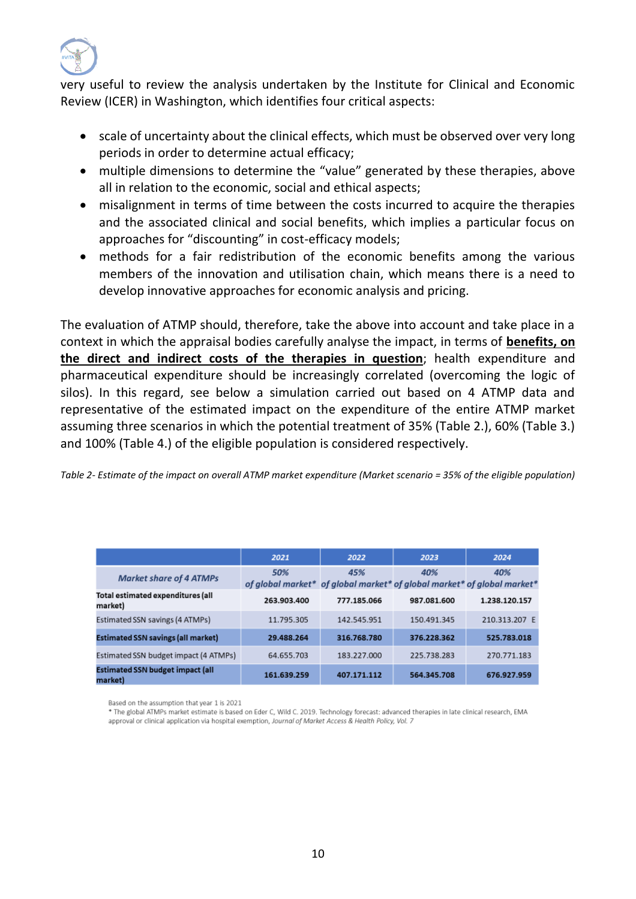

very useful to review the analysis undertaken by the Institute for Clinical and Economic Review (ICER) in Washington, which identifies four critical aspects:

- scale of uncertainty about the clinical effects, which must be observed over very long periods in order to determine actual efficacy;
- multiple dimensions to determine the "value" generated by these therapies, above all in relation to the economic, social and ethical aspects;
- misalignment in terms of time between the costs incurred to acquire the therapies and the associated clinical and social benefits, which implies a particular focus on approaches for "discounting" in cost-efficacy models;
- methods for a fair redistribution of the economic benefits among the various members of the innovation and utilisation chain, which means there is a need to develop innovative approaches for economic analysis and pricing.

The evaluation of ATMP should, therefore, take the above into account and take place in a context in which the appraisal bodies carefully analyse the impact, in terms of **benefits, on the direct and indirect costs of the therapies in question**; health expenditure and pharmaceutical expenditure should be increasingly correlated (overcoming the logic of silos). In this regard, see below a simulation carried out based on 4 ATMP data and representative of the estimated impact on the expenditure of the entire ATMP market assuming three scenarios in which the potential treatment of 35% (Table 2.), 60% (Table 3.) and 100% (Table 4.) of the eligible population is considered respectively.

*Table 2- Estimate of the impact on overall ATMP market expenditure (Market scenario = 35% of the eligible population)*

|                                                    | 2021                                                                           | 2022        | 2023        | 2024          |
|----------------------------------------------------|--------------------------------------------------------------------------------|-------------|-------------|---------------|
| <b>Market share of 4 ATMPs</b>                     | 50%<br>of global market* of global market* of global market* of global market* | 45%         | 40%         | 40%           |
| Total estimated expenditures (all<br>market)       | 263.903.400                                                                    | 777.185.066 | 987.081.600 | 1.238.120.157 |
| Estimated SSN savings (4 ATMPs)                    | 11.795.305                                                                     | 142.545.951 | 150.491.345 | 210.313.207 E |
| <b>Estimated SSN savings (all market)</b>          | 29.488.264                                                                     | 316.768.780 | 376.228.362 | 525.783.018   |
| Estimated SSN budget impact (4 ATMPs)              | 64.655.703                                                                     | 183.227.000 | 225.738.283 | 270.771.183   |
| <b>Estimated SSN budget impact (all</b><br>market) | 161.639.259                                                                    | 407.171.112 | 564.345.708 | 676.927.959   |

Based on the assumption that year 1 is 2021

\* The global ATMPs market estimate is based on Eder C, Wild C. 2019. Technology forecast: advanced therapies in late clinical research, EMA approval or clinical application via hospital exemption, Journal of Market Access & Health Policy, Vol. 7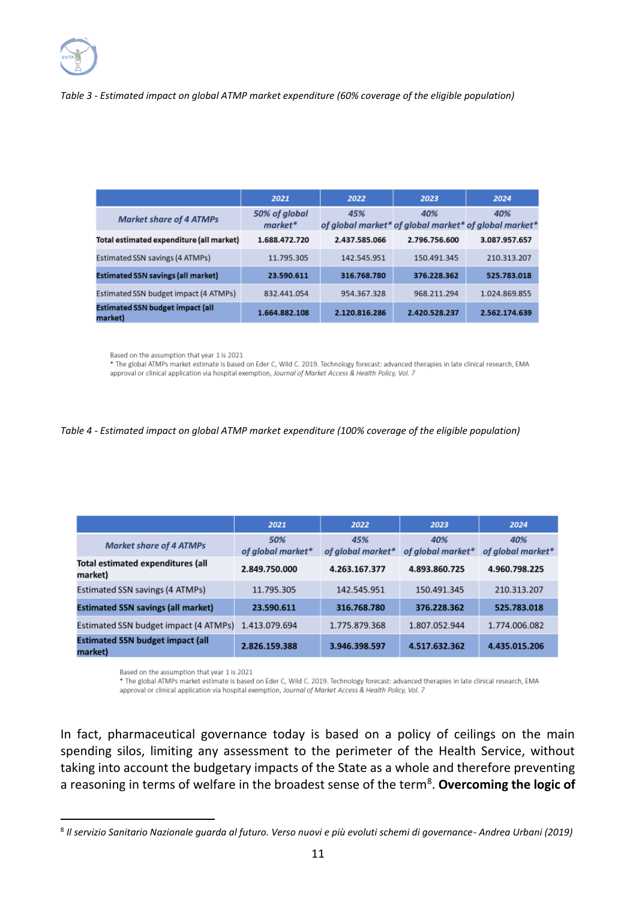### *Table 3 - Estimated impact on global ATMP market expenditure (60% coverage of the eligible population)*

|                                                    | 2021                       | 2022                                                         | 2023          | 2024          |
|----------------------------------------------------|----------------------------|--------------------------------------------------------------|---------------|---------------|
| <b>Market share of 4 ATMPs</b>                     | 50% of global<br>$market*$ | 45%<br>of global market* of global market* of global market* | 40%           | 40%           |
| Total estimated expenditure (all market)           | 1.688.472.720              | 2.437.585.066                                                | 2.796.756.600 | 3.087.957.657 |
| Estimated SSN savings (4 ATMPs)                    | 11.795.305                 | 142.545.951                                                  | 150.491.345   | 210.313.207   |
| <b>Estimated SSN savings (all market)</b>          | 23.590.611                 | 316.768.780                                                  | 376.228.362   | 525.783.018   |
| Estimated SSN budget impact (4 ATMPs)              | 832.441.054                | 954.367.328                                                  | 968.211.294   | 1.024.869.855 |
| <b>Estimated SSN budget impact (all</b><br>market) | 1.664.882.108              | 2.120.816.286                                                | 2.420.528.237 | 2.562.174.639 |

Based on the assumption that year 1 is 2021

\* The global ATMPs market estimate is based on Eder C, Wild C. 2019. Technology forecast: advanced therapies in late clinical research, EMA approval or clinical application via hospital exemption, Journal of Market Access & Health Policy, Vol. 7

#### *Table 4 - Estimated impact on global ATMP market expenditure (100% coverage of the eligible population)*

|                                                    | 2021                     | 2022                     | 2023                     | 2024                     |
|----------------------------------------------------|--------------------------|--------------------------|--------------------------|--------------------------|
| <b>Market share of 4 ATMPs</b>                     | 50%<br>of global market* | 45%<br>of alobal market* | 40%<br>of alobal market* | 40%<br>of alobal market* |
| Total estimated expenditures (all<br>market)       | 2.849.750.000            | 4.263.167.377            | 4.893.860.725            | 4.960.798.225            |
| Estimated SSN savings (4 ATMPs)                    | 11.795.305               | 142.545.951              | 150.491.345              | 210.313.207              |
| <b>Estimated SSN savings (all market)</b>          | 23.590.611               | 316.768.780              | 376.228.362              | 525.783.018              |
| Estimated SSN budget impact (4 ATMPs)              | 1.413.079.694            | 1.775.879.368            | 1.807.052.944            | 1.774.006.082            |
| <b>Estimated SSN budget impact (all</b><br>market) | 2.826.159.388            | 3.946.398.597            | 4.517.632.362            | 4.435.015.206            |

Based on the assumption that year 1 is 2021

\* The global ATMPs market estimate is based on Eder C, Wild C. 2019. Technology forecast: advanced therapies in late clinical research, EMA approval or clinical application via hospital exemption, Journal of Market Access & Health Policy, Vol. 7

In fact, pharmaceutical governance today is based on a policy of ceilings on the main spending silos, limiting any assessment to the perimeter of the Health Service, without taking into account the budgetary impacts of the State as a whole and therefore preventing a reasoning in terms of welfare in the broadest sense of the term<sup>8</sup>. Overcoming the logic of

<sup>8</sup> *Il servizio Sanitario Nazionale guarda al futuro. Verso nuovi e più evoluti schemi di governance- Andrea Urbani (2019)*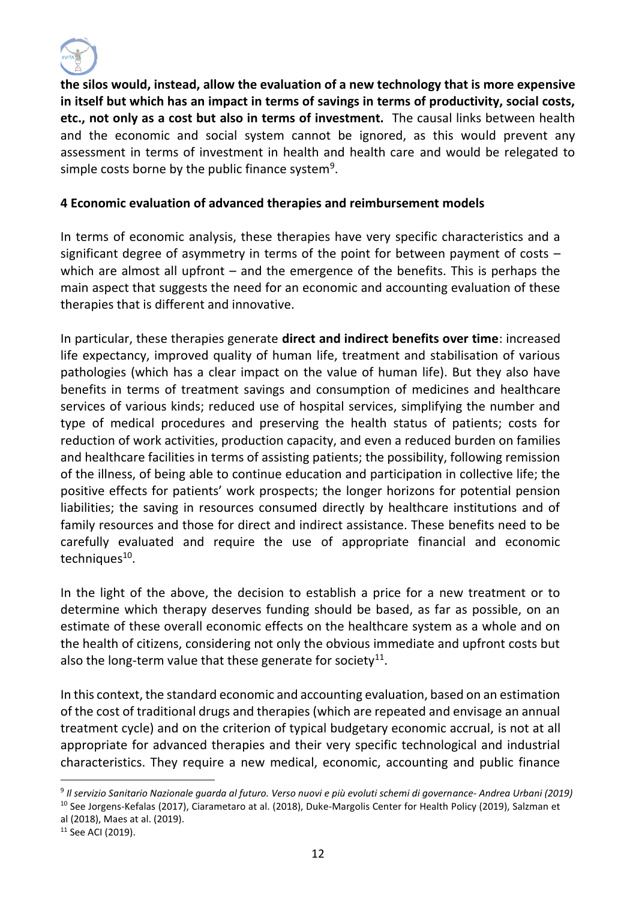

**the silos would, instead, allow the evaluation of a new technology that is more expensive in itself but which has an impact in terms of savings in terms of productivity, social costs, etc., not only as a cost but also in terms of investment.** The causal links between health and the economic and social system cannot be ignored, as this would prevent any assessment in terms of investment in health and health care and would be relegated to simple costs borne by the public finance system $^9$ .

### **4 Economic evaluation of advanced therapies and reimbursement models**

In terms of economic analysis, these therapies have very specific characteristics and a significant degree of asymmetry in terms of the point for between payment of costs – which are almost all upfront – and the emergence of the benefits. This is perhaps the main aspect that suggests the need for an economic and accounting evaluation of these therapies that is different and innovative.

In particular, these therapies generate **direct and indirect benefits over time**: increased life expectancy, improved quality of human life, treatment and stabilisation of various pathologies (which has a clear impact on the value of human life). But they also have benefits in terms of treatment savings and consumption of medicines and healthcare services of various kinds; reduced use of hospital services, simplifying the number and type of medical procedures and preserving the health status of patients; costs for reduction of work activities, production capacity, and even a reduced burden on families and healthcare facilities in terms of assisting patients; the possibility, following remission of the illness, of being able to continue education and participation in collective life; the positive effects for patients' work prospects; the longer horizons for potential pension liabilities; the saving in resources consumed directly by healthcare institutions and of family resources and those for direct and indirect assistance. These benefits need to be carefully evaluated and require the use of appropriate financial and economic techniques<sup>10</sup>.

In the light of the above, the decision to establish a price for a new treatment or to determine which therapy deserves funding should be based, as far as possible, on an estimate of these overall economic effects on the healthcare system as a whole and on the health of citizens, considering not only the obvious immediate and upfront costs but also the long-term value that these generate for society $^{11}$ .

In this context, the standard economic and accounting evaluation, based on an estimation of the cost of traditional drugs and therapies (which are repeated and envisage an annual treatment cycle) and on the criterion of typical budgetary economic accrual, is not at all appropriate for advanced therapies and their very specific technological and industrial characteristics. They require a new medical, economic, accounting and public finance

<sup>9</sup> *Il servizio Sanitario Nazionale guarda al futuro. Verso nuovi e più evoluti schemi di governance- Andrea Urbani (2019)* <sup>10</sup> See Jorgens-Kefalas (2017), Ciarametaro at al. (2018), Duke-Margolis Center for Health Policy (2019), Salzman et al (2018), Maes at al. (2019).

<sup>&</sup>lt;sup>11</sup> See ACI (2019).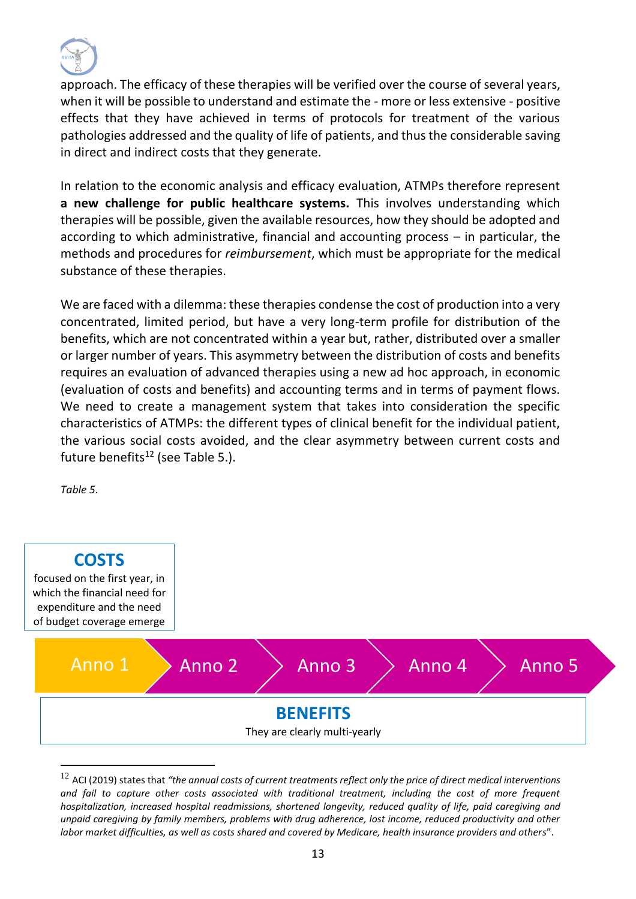

approach. The efficacy of these therapies will be verified over the course of several years, when it will be possible to understand and estimate the - more or less extensive - positive effects that they have achieved in terms of protocols for treatment of the various pathologies addressed and the quality of life of patients, and thus the considerable saving in direct and indirect costs that they generate.

In relation to the economic analysis and efficacy evaluation, ATMPs therefore represent **a new challenge for public healthcare systems.** This involves understanding which therapies will be possible, given the available resources, how they should be adopted and according to which administrative, financial and accounting process – in particular, the methods and procedures for *reimbursement*, which must be appropriate for the medical substance of these therapies.

We are faced with a dilemma: these therapies condense the cost of production into a very concentrated, limited period, but have a very long-term profile for distribution of the benefits, which are not concentrated within a year but, rather, distributed over a smaller or larger number of years. This asymmetry between the distribution of costs and benefits requires an evaluation of advanced therapies using a new ad hoc approach, in economic (evaluation of costs and benefits) and accounting terms and in terms of payment flows. We need to create a management system that takes into consideration the specific characteristics of ATMPs: the different types of clinical benefit for the individual patient, the various social costs avoided, and the clear asymmetry between current costs and future benefits<sup>12</sup> (see Table 5.).

*Table 5.*



<sup>12</sup> ACI (2019) states that *"the annual costs of current treatments reflect only the price of direct medical interventions and fail to capture other costs associated with traditional treatment, including the cost of more frequent hospitalization, increased hospital readmissions, shortened longevity, reduced quality of life, paid caregiving and unpaid caregiving by family members, problems with drug adherence, lost income, reduced productivity and other labor market difficulties, as well as costs shared and covered by Medicare, health insurance providers and others*".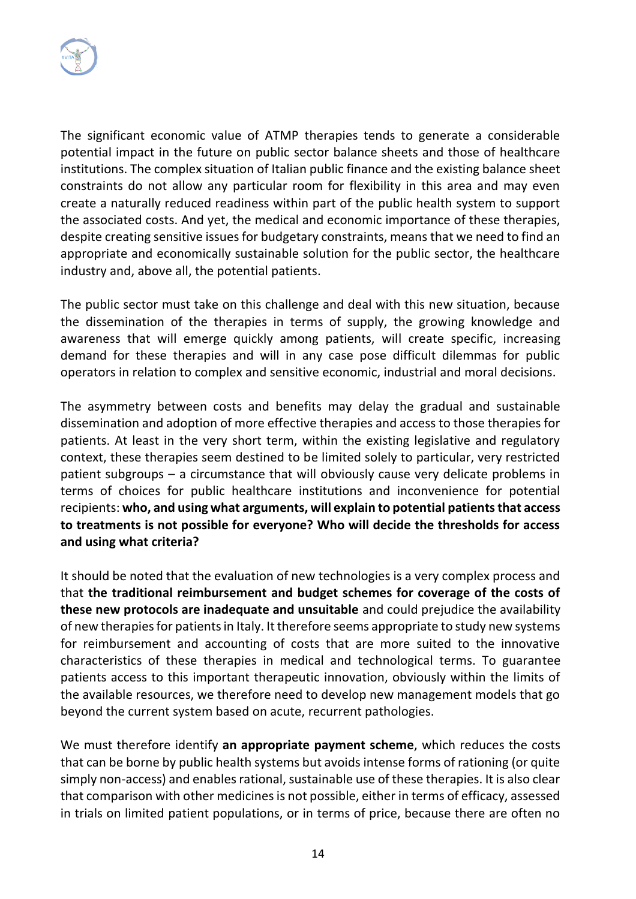

The significant economic value of ATMP therapies tends to generate a considerable potential impact in the future on public sector balance sheets and those of healthcare institutions. The complex situation of Italian public finance and the existing balance sheet constraints do not allow any particular room for flexibility in this area and may even create a naturally reduced readiness within part of the public health system to support the associated costs. And yet, the medical and economic importance of these therapies, despite creating sensitive issues for budgetary constraints, means that we need to find an appropriate and economically sustainable solution for the public sector, the healthcare industry and, above all, the potential patients.

The public sector must take on this challenge and deal with this new situation, because the dissemination of the therapies in terms of supply, the growing knowledge and awareness that will emerge quickly among patients, will create specific, increasing demand for these therapies and will in any case pose difficult dilemmas for public operators in relation to complex and sensitive economic, industrial and moral decisions.

The asymmetry between costs and benefits may delay the gradual and sustainable dissemination and adoption of more effective therapies and access to those therapies for patients. At least in the very short term, within the existing legislative and regulatory context, these therapies seem destined to be limited solely to particular, very restricted patient subgroups – a circumstance that will obviously cause very delicate problems in terms of choices for public healthcare institutions and inconvenience for potential recipients: **who, and using what arguments, will explain to potential patients that access to treatments is not possible for everyone? Who will decide the thresholds for access and using what criteria?** 

It should be noted that the evaluation of new technologies is a very complex process and that **the traditional reimbursement and budget schemes for coverage of the costs of these new protocols are inadequate and unsuitable** and could prejudice the availability of new therapies for patients in Italy. It therefore seems appropriate to study new systems for reimbursement and accounting of costs that are more suited to the innovative characteristics of these therapies in medical and technological terms. To guarantee patients access to this important therapeutic innovation, obviously within the limits of the available resources, we therefore need to develop new management models that go beyond the current system based on acute, recurrent pathologies.

We must therefore identify **an appropriate payment scheme**, which reduces the costs that can be borne by public health systems but avoids intense forms of rationing (or quite simply non-access) and enables rational, sustainable use of these therapies. It is also clear that comparison with other medicines is not possible, either in terms of efficacy, assessed in trials on limited patient populations, or in terms of price, because there are often no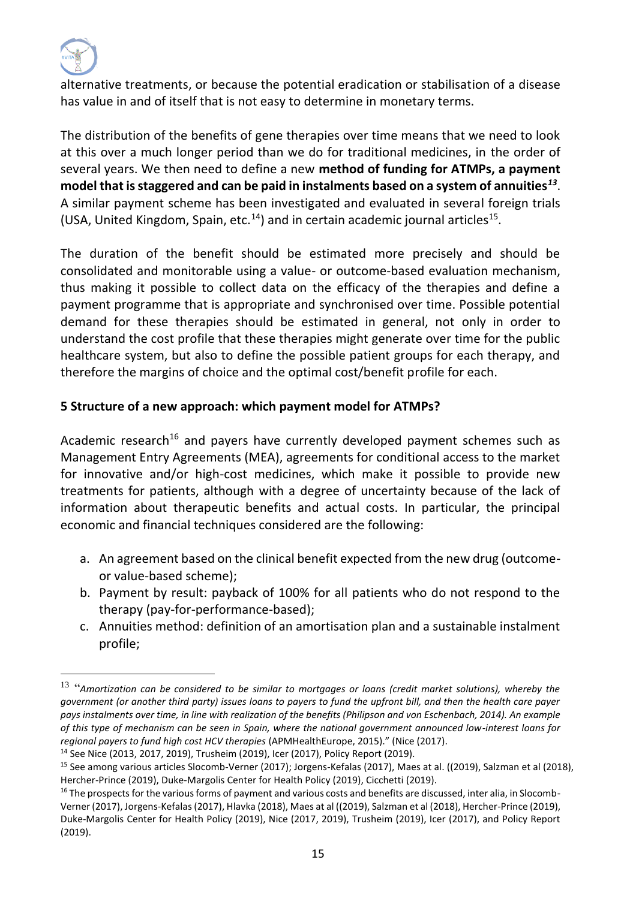

alternative treatments, or because the potential eradication or stabilisation of a disease has value in and of itself that is not easy to determine in monetary terms.

The distribution of the benefits of gene therapies over time means that we need to look at this over a much longer period than we do for traditional medicines, in the order of several years. We then need to define a new **method of funding for ATMPs, a payment model that is staggered and can be paid in instalments based on a system of annuities***<sup>13</sup>* . A similar payment scheme has been investigated and evaluated in several foreign trials (USA, United Kingdom, Spain, etc. $^{14}$ ) and in certain academic journal articles<sup>15</sup>.

The duration of the benefit should be estimated more precisely and should be consolidated and monitorable using a value- or outcome-based evaluation mechanism, thus making it possible to collect data on the efficacy of the therapies and define a payment programme that is appropriate and synchronised over time. Possible potential demand for these therapies should be estimated in general, not only in order to understand the cost profile that these therapies might generate over time for the public healthcare system, but also to define the possible patient groups for each therapy, and therefore the margins of choice and the optimal cost/benefit profile for each.

### **5 Structure of a new approach: which payment model for ATMPs?**

Academic research<sup>16</sup> and payers have currently developed payment schemes such as Management Entry Agreements (MEA), agreements for conditional access to the market for innovative and/or high-cost medicines, which make it possible to provide new treatments for patients, although with a degree of uncertainty because of the lack of information about therapeutic benefits and actual costs. In particular, the principal economic and financial techniques considered are the following:

- a. An agreement based on the clinical benefit expected from the new drug (outcomeor value-based scheme);
- b. Payment by result: payback of 100% for all patients who do not respond to the therapy (pay-for-performance-based);
- c. Annuities method: definition of an amortisation plan and a sustainable instalment profile;

<sup>13</sup> "*Amortization can be considered to be similar to mortgages or loans (credit market solutions), whereby the government (or another third party) issues loans to payers to fund the upfront bill, and then the health care payer pays instalments over time, in line with realization of the benefits (Philipson and von Eschenbach, 2014). An example of this type of mechanism can be seen in Spain, where the national government announced low-interest loans for regional payers to fund high cost HCV therapies* (APMHealthEurope, 2015)." (Nice (2017).

<sup>14</sup> See Nice (2013, 2017, 2019), Trusheim (2019), Icer (2017), Policy Report (2019).

<sup>15</sup> See among various articles Slocomb-Verner (2017); Jorgens-Kefalas (2017), Maes at al. ((2019), Salzman et al (2018), Hercher-Prince (2019), Duke-Margolis Center for Health Policy (2019), Cicchetti (2019).

<sup>&</sup>lt;sup>16</sup> The prospects for the various forms of payment and various costs and benefits are discussed, inter alia, in Slocomb-Verner (2017), Jorgens-Kefalas (2017), Hlavka (2018), Maes at al ((2019), Salzman et al (2018), Hercher-Prince (2019), Duke-Margolis Center for Health Policy (2019), Nice (2017, 2019), Trusheim (2019), Icer (2017), and Policy Report (2019).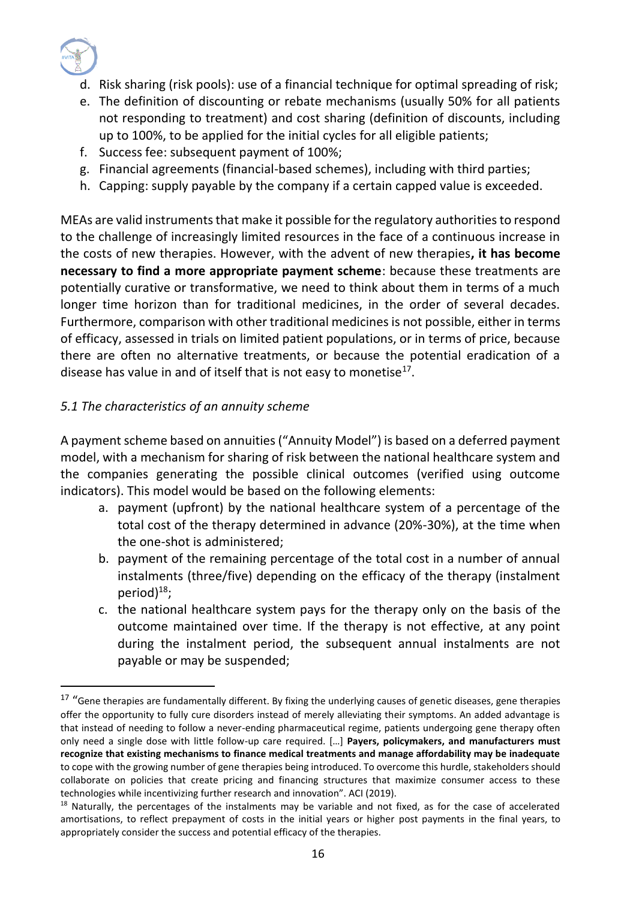

- d. Risk sharing (risk pools): use of a financial technique for optimal spreading of risk;
- e. The definition of discounting or rebate mechanisms (usually 50% for all patients not responding to treatment) and cost sharing (definition of discounts, including up to 100%, to be applied for the initial cycles for all eligible patients;
- f. Success fee: subsequent payment of 100%;
- g. Financial agreements (financial-based schemes), including with third parties;
- h. Capping: supply payable by the company if a certain capped value is exceeded.

MEAs are valid instruments that make it possible for the regulatory authorities to respond to the challenge of increasingly limited resources in the face of a continuous increase in the costs of new therapies. However, with the advent of new therapies**, it has become necessary to find a more appropriate payment scheme**: because these treatments are potentially curative or transformative, we need to think about them in terms of a much longer time horizon than for traditional medicines, in the order of several decades. Furthermore, comparison with other traditional medicines is not possible, either in terms of efficacy, assessed in trials on limited patient populations, or in terms of price, because there are often no alternative treatments, or because the potential eradication of a disease has value in and of itself that is not easy to monetise $^{17}$ .

### *5.1 The characteristics of an annuity scheme*

A payment scheme based on annuities ("Annuity Model") is based on a deferred payment model, with a mechanism for sharing of risk between the national healthcare system and the companies generating the possible clinical outcomes (verified using outcome indicators). This model would be based on the following elements:

- a. payment (upfront) by the national healthcare system of a percentage of the total cost of the therapy determined in advance (20%-30%), at the time when the one-shot is administered;
- b. payment of the remaining percentage of the total cost in a number of annual instalments (three/five) depending on the efficacy of the therapy (instalment period) $^{18}$ ;
- c. the national healthcare system pays for the therapy only on the basis of the outcome maintained over time. If the therapy is not effective, at any point during the instalment period, the subsequent annual instalments are not payable or may be suspended;

<sup>&</sup>lt;sup>17</sup> "Gene therapies are fundamentally different. By fixing the underlying causes of genetic diseases, gene therapies offer the opportunity to fully cure disorders instead of merely alleviating their symptoms. An added advantage is that instead of needing to follow a never-ending pharmaceutical regime, patients undergoing gene therapy often only need a single dose with little follow-up care required. […] **Payers, policymakers, and manufacturers must recognize that existing mechanisms to finance medical treatments and manage affordability may be inadequate** to cope with the growing number of gene therapies being introduced. To overcome this hurdle, stakeholders should collaborate on policies that create pricing and financing structures that maximize consumer access to these technologies while incentivizing further research and innovation". ACI (2019).

<sup>&</sup>lt;sup>18</sup> Naturally, the percentages of the instalments may be variable and not fixed, as for the case of accelerated amortisations, to reflect prepayment of costs in the initial years or higher post payments in the final years, to appropriately consider the success and potential efficacy of the therapies.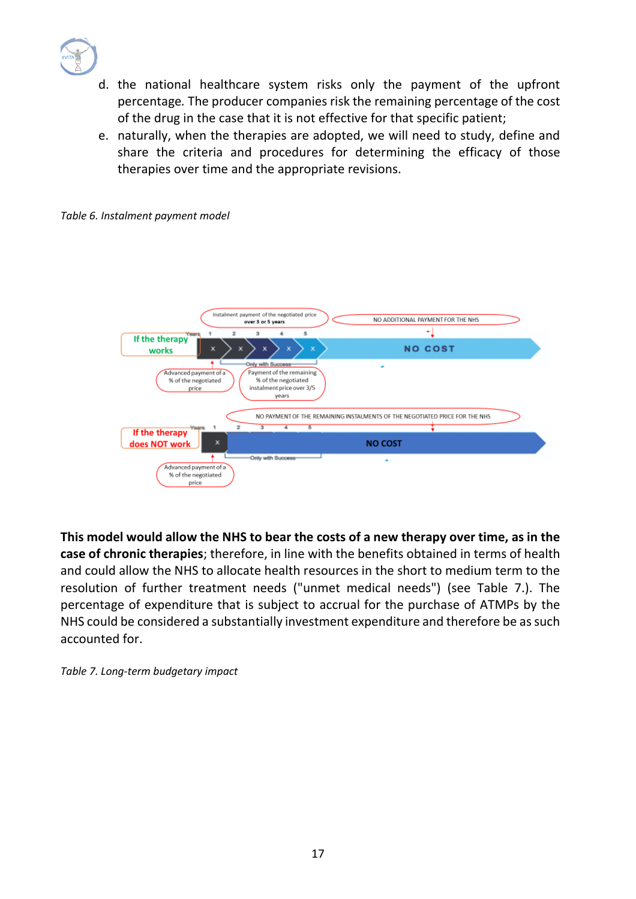

- d. the national healthcare system risks only the payment of the upfront percentage*.* The producer companies risk the remaining percentage of the cost of the drug in the case that it is not effective for that specific patient;
- e. naturally, when the therapies are adopted, we will need to study, define and share the criteria and procedures for determining the efficacy of those therapies over time and the appropriate revisions.



*Table 6. Instalment payment model*

**This model would allow the NHS to bear the costs of a new therapy over time, as in the case of chronic therapies**; therefore, in line with the benefits obtained in terms of health and could allow the NHS to allocate health resources in the short to medium term to the resolution of further treatment needs ("unmet medical needs") (see Table 7.). The percentage of expenditure that is subject to accrual for the purchase of ATMPs by the NHS could be considered a substantially investment expenditure and therefore be as such accounted for.

*Table 7. Long-term budgetary impact*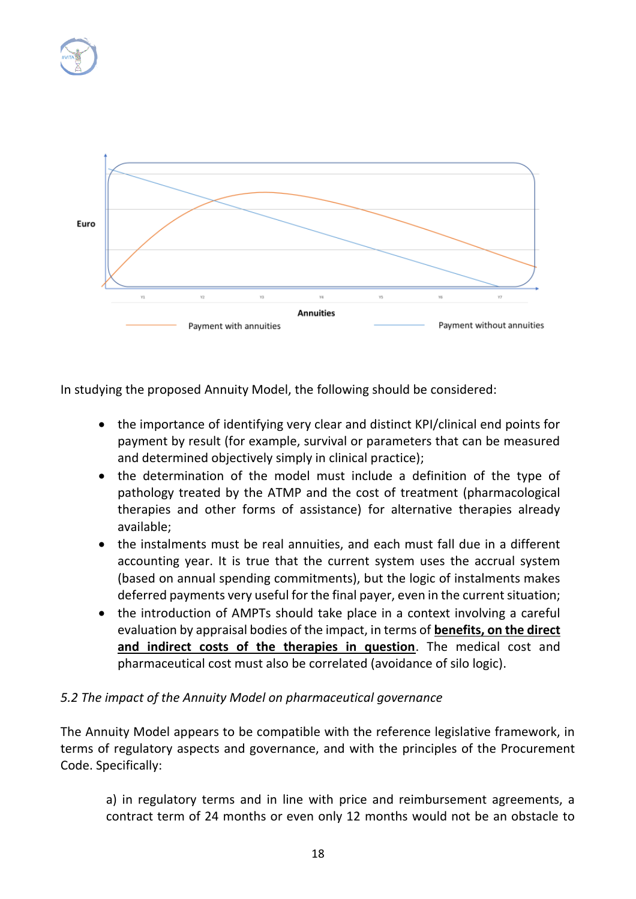



In studying the proposed Annuity Model, the following should be considered:

- the importance of identifying very clear and distinct KPI/clinical end points for payment by result (for example, survival or parameters that can be measured and determined objectively simply in clinical practice);
- the determination of the model must include a definition of the type of pathology treated by the ATMP and the cost of treatment (pharmacological therapies and other forms of assistance) for alternative therapies already available;
- the instalments must be real annuities, and each must fall due in a different accounting year. It is true that the current system uses the accrual system (based on annual spending commitments), but the logic of instalments makes deferred payments very useful for the final payer, even in the current situation;
- the introduction of AMPTs should take place in a context involving a careful evaluation by appraisal bodies of the impact, in terms of **benefits, on the direct and indirect costs of the therapies in question**. The medical cost and pharmaceutical cost must also be correlated (avoidance of silo logic).

### *5.2 The impact of the Annuity Model on pharmaceutical governance*

The Annuity Model appears to be compatible with the reference legislative framework, in terms of regulatory aspects and governance, and with the principles of the Procurement Code. Specifically:

a) in regulatory terms and in line with price and reimbursement agreements, a contract term of 24 months or even only 12 months would not be an obstacle to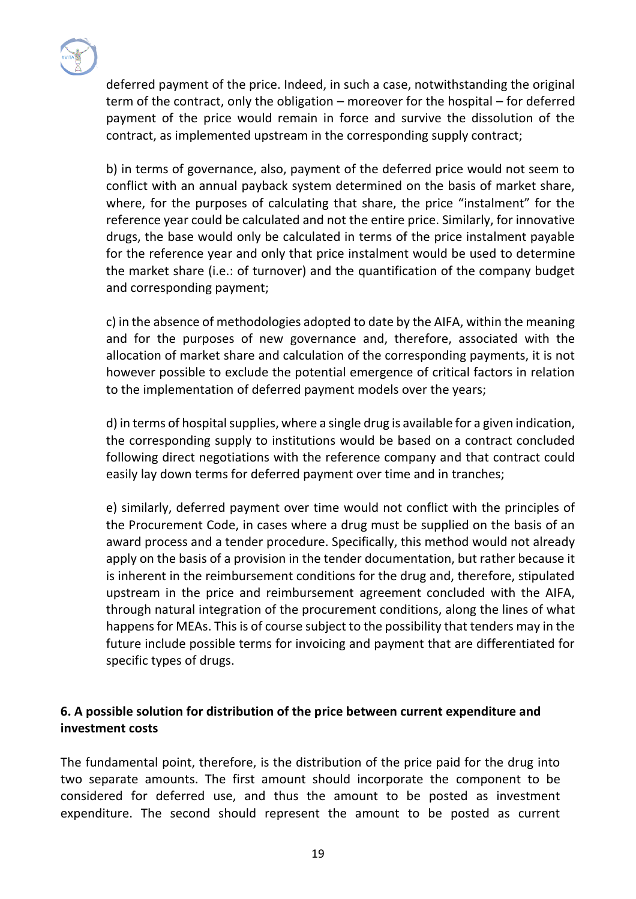

deferred payment of the price. Indeed, in such a case, notwithstanding the original term of the contract, only the obligation – moreover for the hospital – for deferred payment of the price would remain in force and survive the dissolution of the contract, as implemented upstream in the corresponding supply contract;

b) in terms of governance, also, payment of the deferred price would not seem to conflict with an annual payback system determined on the basis of market share, where, for the purposes of calculating that share, the price "instalment" for the reference year could be calculated and not the entire price. Similarly, for innovative drugs, the base would only be calculated in terms of the price instalment payable for the reference year and only that price instalment would be used to determine the market share (i.e.: of turnover) and the quantification of the company budget and corresponding payment;

c) in the absence of methodologies adopted to date by the AIFA, within the meaning and for the purposes of new governance and, therefore, associated with the allocation of market share and calculation of the corresponding payments, it is not however possible to exclude the potential emergence of critical factors in relation to the implementation of deferred payment models over the years;

d) in terms of hospital supplies, where a single drug is available for a given indication, the corresponding supply to institutions would be based on a contract concluded following direct negotiations with the reference company and that contract could easily lay down terms for deferred payment over time and in tranches;

e) similarly, deferred payment over time would not conflict with the principles of the Procurement Code, in cases where a drug must be supplied on the basis of an award process and a tender procedure. Specifically, this method would not already apply on the basis of a provision in the tender documentation, but rather because it is inherent in the reimbursement conditions for the drug and, therefore, stipulated upstream in the price and reimbursement agreement concluded with the AIFA, through natural integration of the procurement conditions, along the lines of what happens for MEAs. This is of course subject to the possibility that tenders may in the future include possible terms for invoicing and payment that are differentiated for specific types of drugs.

### **6. A possible solution for distribution of the price between current expenditure and investment costs**

The fundamental point, therefore, is the distribution of the price paid for the drug into two separate amounts. The first amount should incorporate the component to be considered for deferred use, and thus the amount to be posted as investment expenditure. The second should represent the amount to be posted as current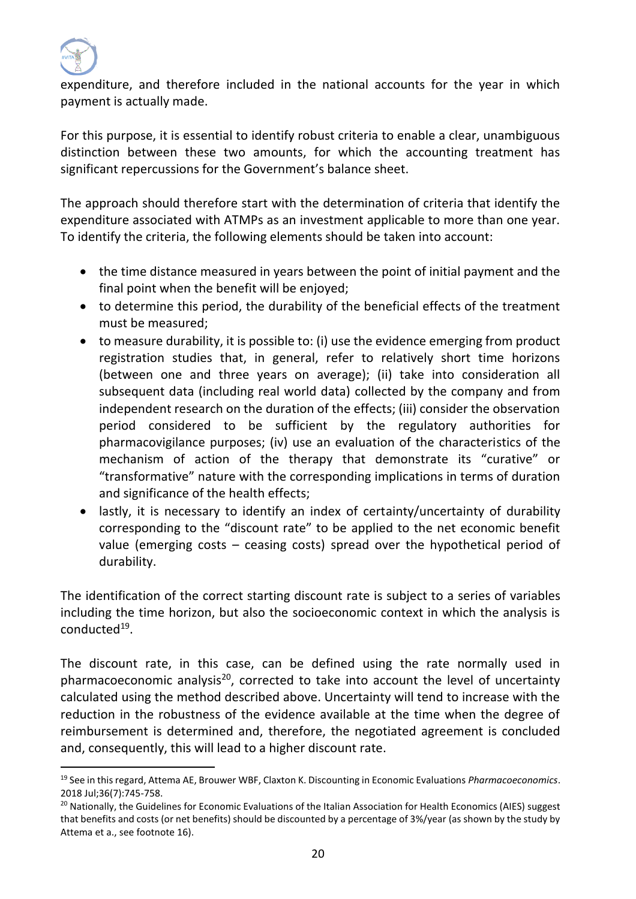

expenditure, and therefore included in the national accounts for the year in which payment is actually made.

For this purpose, it is essential to identify robust criteria to enable a clear, unambiguous distinction between these two amounts, for which the accounting treatment has significant repercussions for the Government's balance sheet.

The approach should therefore start with the determination of criteria that identify the expenditure associated with ATMPs as an investment applicable to more than one year. To identify the criteria, the following elements should be taken into account:

- the time distance measured in years between the point of initial payment and the final point when the benefit will be enjoyed;
- to determine this period, the durability of the beneficial effects of the treatment must be measured;
- to measure durability, it is possible to: (i) use the evidence emerging from product registration studies that, in general, refer to relatively short time horizons (between one and three years on average); (ii) take into consideration all subsequent data (including real world data) collected by the company and from independent research on the duration of the effects; (iii) consider the observation period considered to be sufficient by the regulatory authorities for pharmacovigilance purposes; (iv) use an evaluation of the characteristics of the mechanism of action of the therapy that demonstrate its "curative" or "transformative" nature with the corresponding implications in terms of duration and significance of the health effects;
- lastly, it is necessary to identify an index of certainty/uncertainty of durability corresponding to the "discount rate" to be applied to the net economic benefit value (emerging costs – ceasing costs) spread over the hypothetical period of durability.

The identification of the correct starting discount rate is subject to a series of variables including the time horizon, but also the socioeconomic context in which the analysis is conducted<sup>19</sup>.

The discount rate, in this case, can be defined using the rate normally used in pharmacoeconomic analysis $20$ , corrected to take into account the level of uncertainty calculated using the method described above. Uncertainty will tend to increase with the reduction in the robustness of the evidence available at the time when the degree of reimbursement is determined and, therefore, the negotiated agreement is concluded and, consequently, this will lead to a higher discount rate.

<sup>19</sup> See in this regard, Attema AE, Brouwer WBF, Claxton K. Discounting in Economic Evaluations *Pharmacoeconomics*. 2018 Jul;36(7):745-758.

<sup>&</sup>lt;sup>20</sup> Nationally, the Guidelines for Economic Evaluations of the Italian Association for Health Economics (AIES) suggest that benefits and costs (or net benefits) should be discounted by a percentage of 3%/year (as shown by the study by Attema et a., see footnote 16).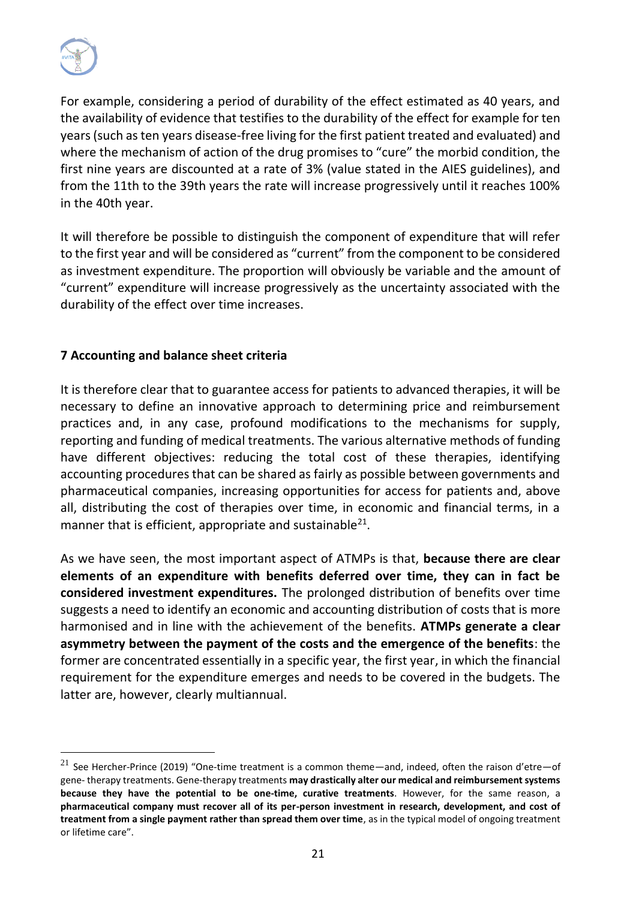

For example, considering a period of durability of the effect estimated as 40 years, and the availability of evidence that testifies to the durability of the effect for example for ten years (such as ten years disease-free living for the first patient treated and evaluated) and where the mechanism of action of the drug promises to "cure" the morbid condition, the first nine years are discounted at a rate of 3% (value stated in the AIES guidelines), and from the 11th to the 39th years the rate will increase progressively until it reaches 100% in the 40th year.

It will therefore be possible to distinguish the component of expenditure that will refer to the first year and will be considered as "current" from the component to be considered as investment expenditure. The proportion will obviously be variable and the amount of "current" expenditure will increase progressively as the uncertainty associated with the durability of the effect over time increases.

### **7 Accounting and balance sheet criteria**

It is therefore clear that to guarantee access for patients to advanced therapies, it will be necessary to define an innovative approach to determining price and reimbursement practices and, in any case, profound modifications to the mechanisms for supply, reporting and funding of medical treatments. The various alternative methods of funding have different objectives: reducing the total cost of these therapies, identifying accounting procedures that can be shared as fairly as possible between governments and pharmaceutical companies, increasing opportunities for access for patients and, above all, distributing the cost of therapies over time, in economic and financial terms, in a manner that is efficient, appropriate and sustainable<sup>21</sup>.

As we have seen, the most important aspect of ATMPs is that, **because there are clear elements of an expenditure with benefits deferred over time, they can in fact be considered investment expenditures.** The prolonged distribution of benefits over time suggests a need to identify an economic and accounting distribution of costs that is more harmonised and in line with the achievement of the benefits. **ATMPs generate a clear asymmetry between the payment of the costs and the emergence of the benefits**: the former are concentrated essentially in a specific year, the first year, in which the financial requirement for the expenditure emerges and needs to be covered in the budgets. The latter are, however, clearly multiannual.

<sup>&</sup>lt;sup>21</sup> See Hercher-Prince (2019) "One-time treatment is a common theme—and, indeed, often the raison d'etre—of gene- therapy treatments. Gene-therapy treatments **may drastically alter our medical and reimbursement systems because they have the potential to be one-time, curative treatments**. However, for the same reason, a **pharmaceutical company must recover all of its per-person investment in research, development, and cost of treatment from a single payment rather than spread them over time**, as in the typical model of ongoing treatment or lifetime care".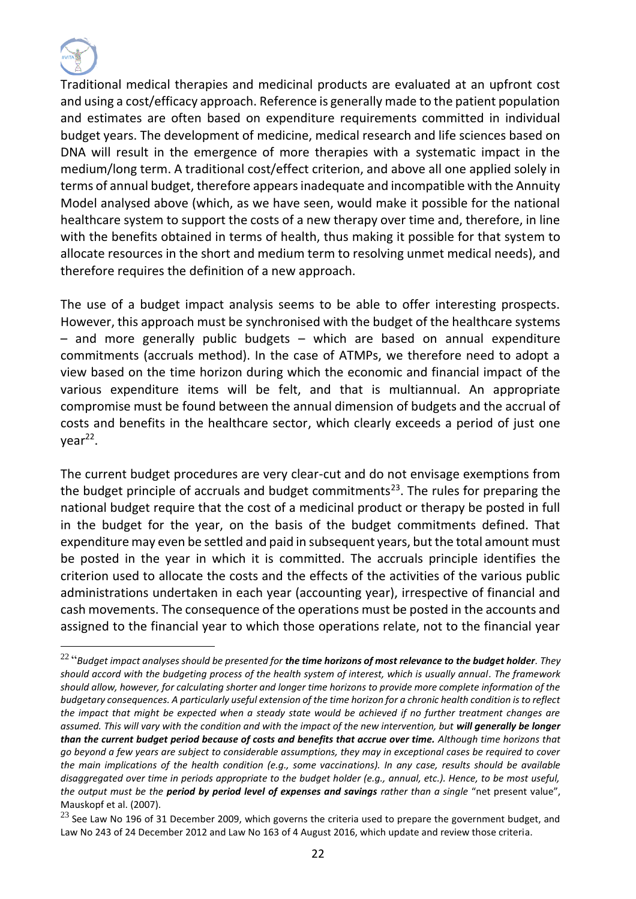

Traditional medical therapies and medicinal products are evaluated at an upfront cost and using a cost/efficacy approach. Reference is generally made to the patient population and estimates are often based on expenditure requirements committed in individual budget years. The development of medicine, medical research and life sciences based on DNA will result in the emergence of more therapies with a systematic impact in the medium/long term. A traditional cost/effect criterion, and above all one applied solely in terms of annual budget, therefore appears inadequate and incompatible with the Annuity Model analysed above (which, as we have seen, would make it possible for the national healthcare system to support the costs of a new therapy over time and, therefore, in line with the benefits obtained in terms of health, thus making it possible for that system to allocate resources in the short and medium term to resolving unmet medical needs), and therefore requires the definition of a new approach.

The use of a budget impact analysis seems to be able to offer interesting prospects. However, this approach must be synchronised with the budget of the healthcare systems – and more generally public budgets – which are based on annual expenditure commitments (accruals method). In the case of ATMPs, we therefore need to adopt a view based on the time horizon during which the economic and financial impact of the various expenditure items will be felt, and that is multiannual. An appropriate compromise must be found between the annual dimension of budgets and the accrual of costs and benefits in the healthcare sector, which clearly exceeds a period of just one year<sup>22</sup>.

The current budget procedures are very clear-cut and do not envisage exemptions from the budget principle of accruals and budget commitments<sup>23</sup>. The rules for preparing the national budget require that the cost of a medicinal product or therapy be posted in full in the budget for the year, on the basis of the budget commitments defined. That expenditure may even be settled and paid in subsequent years, but the total amount must be posted in the year in which it is committed. The accruals principle identifies the criterion used to allocate the costs and the effects of the activities of the various public administrations undertaken in each year (accounting year), irrespective of financial and cash movements. The consequence of the operations must be posted in the accounts and assigned to the financial year to which those operations relate, not to the financial year

<sup>22</sup> "*Budget impact analyses should be presented for the time horizons of most relevance to the budget holder. They should accord with the budgeting process of the health system of interest, which is usually annual. The framework should allow, however, for calculating shorter and longer time horizons to provide more complete information of the budgetary consequences. A particularly useful extension of the time horizon for a chronic health condition is to reflect the impact that might be expected when a steady state would be achieved if no further treatment changes are assumed. This will vary with the condition and with the impact of the new intervention, but will generally be longer than the current budget period because of costs and benefits that accrue over time. Although time horizons that go beyond a few years are subject to considerable assumptions, they may in exceptional cases be required to cover the main implications of the health condition (e.g., some vaccinations). In any case, results should be available disaggregated over time in periods appropriate to the budget holder (e.g., annual, etc.). Hence, to be most useful, the output must be the period by period level of expenses and savings rather than a single* "net present value", Mauskopf et al. (2007).

 $^{23}$  See Law No 196 of 31 December 2009, which governs the criteria used to prepare the government budget, and Law No 243 of 24 December 2012 and Law No 163 of 4 August 2016, which update and review those criteria.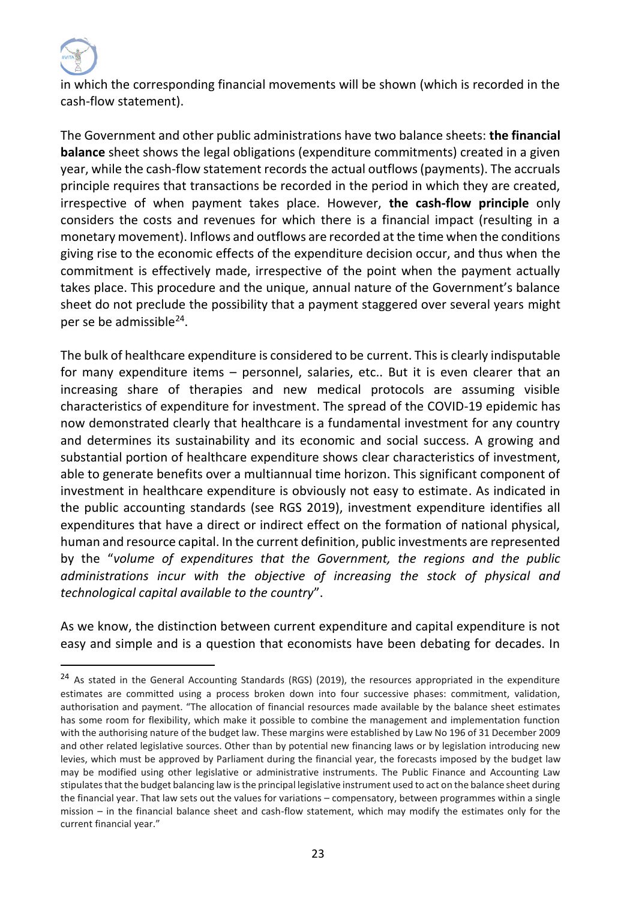

in which the corresponding financial movements will be shown (which is recorded in the cash-flow statement).

The Government and other public administrations have two balance sheets: **the financial balance** sheet shows the legal obligations (expenditure commitments) created in a given year, while the cash-flow statement records the actual outflows (payments). The accruals principle requires that transactions be recorded in the period in which they are created, irrespective of when payment takes place. However, **the cash-flow principle** only considers the costs and revenues for which there is a financial impact (resulting in a monetary movement). Inflows and outflows are recorded at the time when the conditions giving rise to the economic effects of the expenditure decision occur, and thus when the commitment is effectively made, irrespective of the point when the payment actually takes place. This procedure and the unique, annual nature of the Government's balance sheet do not preclude the possibility that a payment staggered over several years might per se be admissible<sup>24</sup>.

The bulk of healthcare expenditure is considered to be current. This is clearly indisputable for many expenditure items – personnel, salaries, etc.. But it is even clearer that an increasing share of therapies and new medical protocols are assuming visible characteristics of expenditure for investment. The spread of the COVID-19 epidemic has now demonstrated clearly that healthcare is a fundamental investment for any country and determines its sustainability and its economic and social success. A growing and substantial portion of healthcare expenditure shows clear characteristics of investment, able to generate benefits over a multiannual time horizon. This significant component of investment in healthcare expenditure is obviously not easy to estimate. As indicated in the public accounting standards (see RGS 2019), investment expenditure identifies all expenditures that have a direct or indirect effect on the formation of national physical, human and resource capital. In the current definition, public investments are represented by the "*volume of expenditures that the Government, the regions and the public administrations incur with the objective of increasing the stock of physical and technological capital available to the country*".

As we know, the distinction between current expenditure and capital expenditure is not easy and simple and is a question that economists have been debating for decades. In

<sup>&</sup>lt;sup>24</sup> As stated in the General Accounting Standards (RGS) (2019), the resources appropriated in the expenditure estimates are committed using a process broken down into four successive phases: commitment, validation, authorisation and payment. "The allocation of financial resources made available by the balance sheet estimates has some room for flexibility, which make it possible to combine the management and implementation function with the authorising nature of the budget law. These margins were established by Law No 196 of 31 December 2009 and other related legislative sources. Other than by potential new financing laws or by legislation introducing new levies, which must be approved by Parliament during the financial year, the forecasts imposed by the budget law may be modified using other legislative or administrative instruments. The Public Finance and Accounting Law stipulates that the budget balancing law is the principal legislative instrument used to act on the balance sheet during the financial year. That law sets out the values for variations – compensatory, between programmes within a single mission – in the financial balance sheet and cash-flow statement, which may modify the estimates only for the current financial year."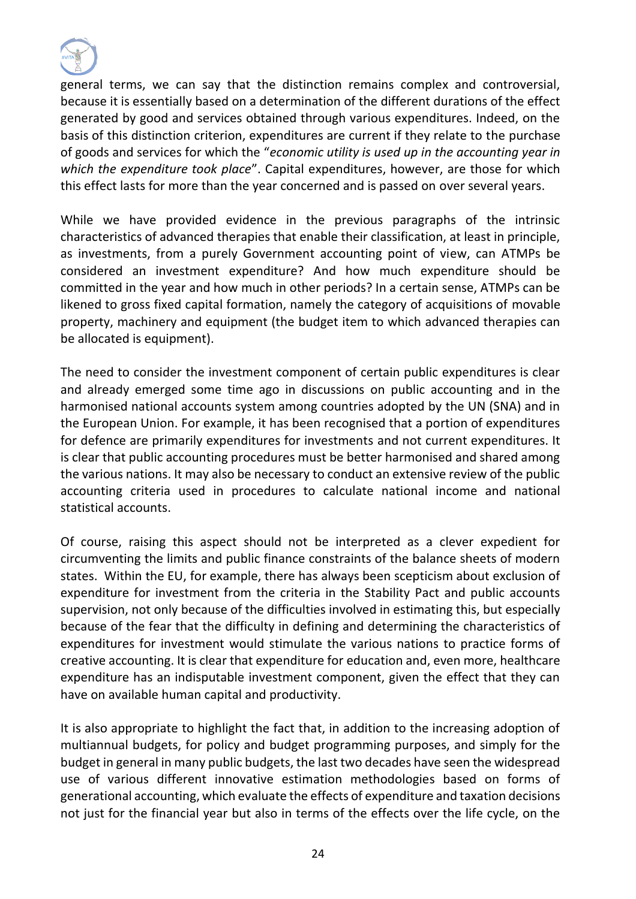

general terms, we can say that the distinction remains complex and controversial, because it is essentially based on a determination of the different durations of the effect generated by good and services obtained through various expenditures. Indeed, on the basis of this distinction criterion, expenditures are current if they relate to the purchase of goods and services for which the "*economic utility is used up in the accounting year in which the expenditure took place*". Capital expenditures, however, are those for which this effect lasts for more than the year concerned and is passed on over several years.

While we have provided evidence in the previous paragraphs of the intrinsic characteristics of advanced therapies that enable their classification, at least in principle, as investments, from a purely Government accounting point of view, can ATMPs be considered an investment expenditure? And how much expenditure should be committed in the year and how much in other periods? In a certain sense, ATMPs can be likened to gross fixed capital formation, namely the category of acquisitions of movable property, machinery and equipment (the budget item to which advanced therapies can be allocated is equipment).

The need to consider the investment component of certain public expenditures is clear and already emerged some time ago in discussions on public accounting and in the harmonised national accounts system among countries adopted by the UN (SNA) and in the European Union. For example, it has been recognised that a portion of expenditures for defence are primarily expenditures for investments and not current expenditures. It is clear that public accounting procedures must be better harmonised and shared among the various nations. It may also be necessary to conduct an extensive review of the public accounting criteria used in procedures to calculate national income and national statistical accounts.

Of course, raising this aspect should not be interpreted as a clever expedient for circumventing the limits and public finance constraints of the balance sheets of modern states. Within the EU, for example, there has always been scepticism about exclusion of expenditure for investment from the criteria in the Stability Pact and public accounts supervision, not only because of the difficulties involved in estimating this, but especially because of the fear that the difficulty in defining and determining the characteristics of expenditures for investment would stimulate the various nations to practice forms of creative accounting. It is clear that expenditure for education and, even more, healthcare expenditure has an indisputable investment component, given the effect that they can have on available human capital and productivity.

It is also appropriate to highlight the fact that, in addition to the increasing adoption of multiannual budgets, for policy and budget programming purposes, and simply for the budget in general in many public budgets, the last two decades have seen the widespread use of various different innovative estimation methodologies based on forms of generational accounting, which evaluate the effects of expenditure and taxation decisions not just for the financial year but also in terms of the effects over the life cycle, on the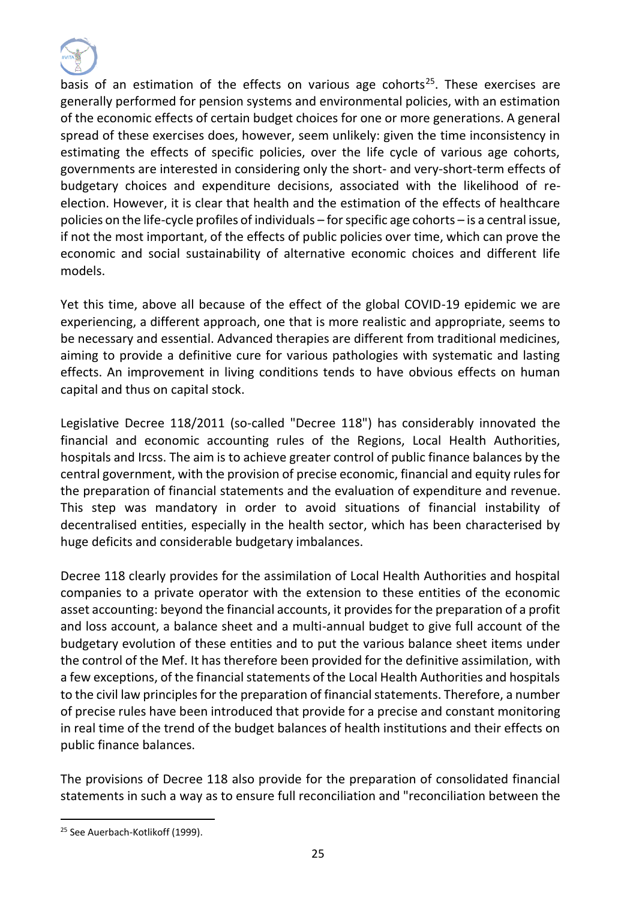

basis of an estimation of the effects on various age cohorts<sup>25</sup>. These exercises are generally performed for pension systems and environmental policies, with an estimation of the economic effects of certain budget choices for one or more generations. A general spread of these exercises does, however, seem unlikely: given the time inconsistency in estimating the effects of specific policies, over the life cycle of various age cohorts, governments are interested in considering only the short- and very-short-term effects of budgetary choices and expenditure decisions, associated with the likelihood of reelection. However, it is clear that health and the estimation of the effects of healthcare policies on the life-cycle profiles of individuals – for specific age cohorts – is a central issue, if not the most important, of the effects of public policies over time, which can prove the economic and social sustainability of alternative economic choices and different life models.

Yet this time, above all because of the effect of the global COVID-19 epidemic we are experiencing, a different approach, one that is more realistic and appropriate, seems to be necessary and essential. Advanced therapies are different from traditional medicines, aiming to provide a definitive cure for various pathologies with systematic and lasting effects. An improvement in living conditions tends to have obvious effects on human capital and thus on capital stock.

Legislative Decree 118/2011 (so-called "Decree 118") has considerably innovated the financial and economic accounting rules of the Regions, Local Health Authorities, hospitals and Ircss. The aim is to achieve greater control of public finance balances by the central government, with the provision of precise economic, financial and equity rules for the preparation of financial statements and the evaluation of expenditure and revenue. This step was mandatory in order to avoid situations of financial instability of decentralised entities, especially in the health sector, which has been characterised by huge deficits and considerable budgetary imbalances.

Decree 118 clearly provides for the assimilation of Local Health Authorities and hospital companies to a private operator with the extension to these entities of the economic asset accounting: beyond the financial accounts, it provides for the preparation of a profit and loss account, a balance sheet and a multi-annual budget to give full account of the budgetary evolution of these entities and to put the various balance sheet items under the control of the Mef. It has therefore been provided for the definitive assimilation, with a few exceptions, of the financial statements of the Local Health Authorities and hospitals to the civil law principles for the preparation of financial statements. Therefore, a number of precise rules have been introduced that provide for a precise and constant monitoring in real time of the trend of the budget balances of health institutions and their effects on public finance balances.

The provisions of Decree 118 also provide for the preparation of consolidated financial statements in such a way as to ensure full reconciliation and "reconciliation between the

<sup>&</sup>lt;sup>25</sup> See Auerbach-Kotlikoff (1999).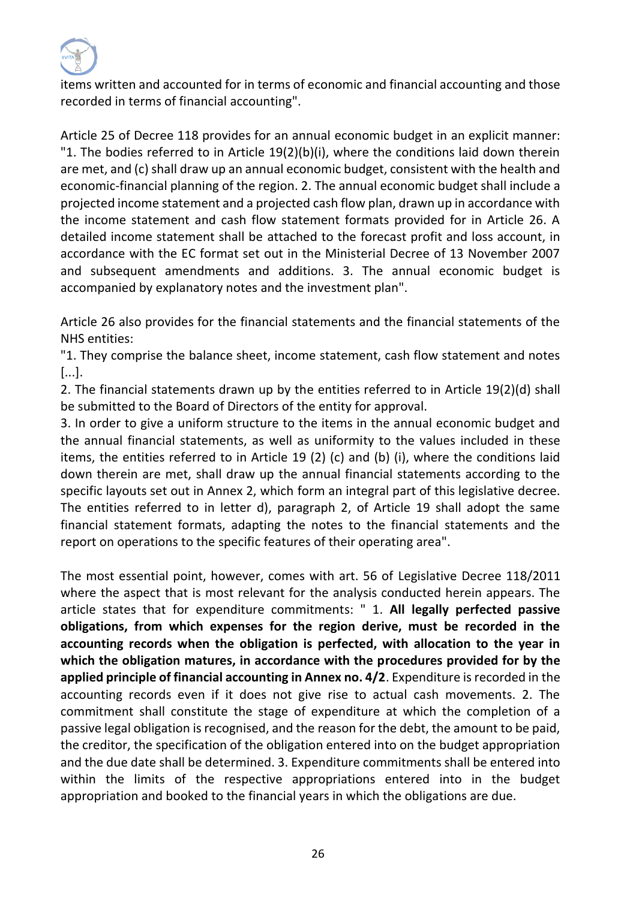

items written and accounted for in terms of economic and financial accounting and those recorded in terms of financial accounting".

Article 25 of Decree 118 provides for an annual economic budget in an explicit manner: "1. The bodies referred to in Article 19(2)(b)(i), where the conditions laid down therein are met, and (c) shall draw up an annual economic budget, consistent with the health and economic-financial planning of the region. 2. The annual economic budget shall include a projected income statement and a projected cash flow plan, drawn up in accordance with the income statement and cash flow statement formats provided for in Article 26. A detailed income statement shall be attached to the forecast profit and loss account, in accordance with the EC format set out in the Ministerial Decree of 13 November 2007 and subsequent amendments and additions. 3. The annual economic budget is accompanied by explanatory notes and the investment plan".

Article 26 also provides for the financial statements and the financial statements of the NHS entities:

"1. They comprise the balance sheet, income statement, cash flow statement and notes [...].

2. The financial statements drawn up by the entities referred to in Article 19(2)(d) shall be submitted to the Board of Directors of the entity for approval.

3. In order to give a uniform structure to the items in the annual economic budget and the annual financial statements, as well as uniformity to the values included in these items, the entities referred to in Article 19 (2) (c) and (b) (i), where the conditions laid down therein are met, shall draw up the annual financial statements according to the specific layouts set out in Annex 2, which form an integral part of this legislative decree. The entities referred to in letter d), paragraph 2, of Article 19 shall adopt the same financial statement formats, adapting the notes to the financial statements and the report on operations to the specific features of their operating area".

The most essential point, however, comes with art. 56 of Legislative Decree 118/2011 where the aspect that is most relevant for the analysis conducted herein appears. The article states that for expenditure commitments: " 1. **All legally perfected passive obligations, from which expenses for the region derive, must be recorded in the accounting records when the obligation is perfected, with allocation to the year in which the obligation matures, in accordance with the procedures provided for by the applied principle of financial accounting in Annex no. 4/2**. Expenditure is recorded in the accounting records even if it does not give rise to actual cash movements. 2. The commitment shall constitute the stage of expenditure at which the completion of a passive legal obligation is recognised, and the reason for the debt, the amount to be paid, the creditor, the specification of the obligation entered into on the budget appropriation and the due date shall be determined. 3. Expenditure commitments shall be entered into within the limits of the respective appropriations entered into in the budget appropriation and booked to the financial years in which the obligations are due.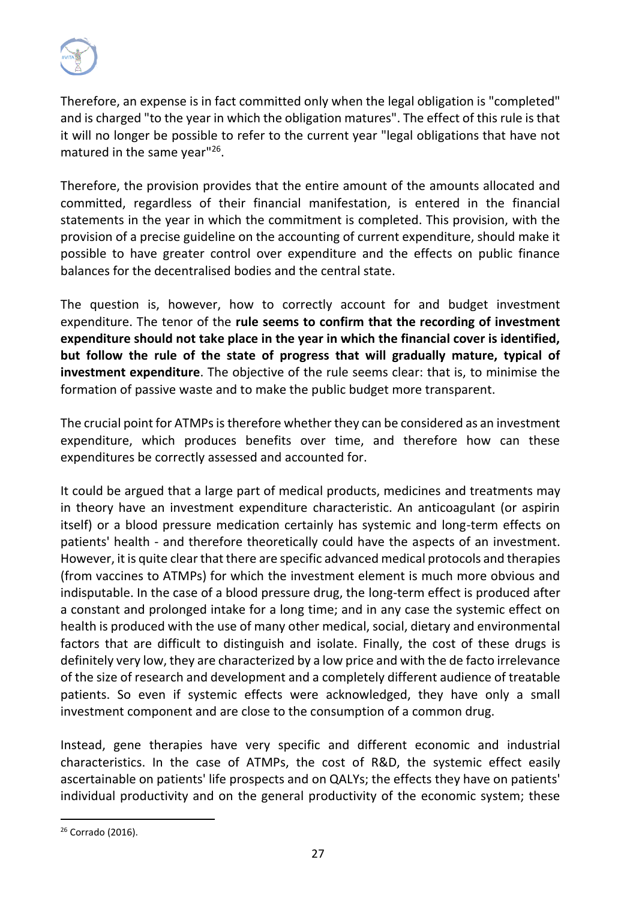

Therefore, an expense is in fact committed only when the legal obligation is "completed" and is charged "to the year in which the obligation matures". The effect of this rule is that it will no longer be possible to refer to the current year "legal obligations that have not matured in the same year"<sup>26</sup>.

Therefore, the provision provides that the entire amount of the amounts allocated and committed, regardless of their financial manifestation, is entered in the financial statements in the year in which the commitment is completed. This provision, with the provision of a precise guideline on the accounting of current expenditure, should make it possible to have greater control over expenditure and the effects on public finance balances for the decentralised bodies and the central state.

The question is, however, how to correctly account for and budget investment expenditure. The tenor of the **rule seems to confirm that the recording of investment expenditure should not take place in the year in which the financial cover is identified, but follow the rule of the state of progress that will gradually mature, typical of investment expenditure**. The objective of the rule seems clear: that is, to minimise the formation of passive waste and to make the public budget more transparent.

The crucial point for ATMPs is therefore whether they can be considered as an investment expenditure, which produces benefits over time, and therefore how can these expenditures be correctly assessed and accounted for.

It could be argued that a large part of medical products, medicines and treatments may in theory have an investment expenditure characteristic. An anticoagulant (or aspirin itself) or a blood pressure medication certainly has systemic and long-term effects on patients' health - and therefore theoretically could have the aspects of an investment. However, it is quite clear that there are specific advanced medical protocols and therapies (from vaccines to ATMPs) for which the investment element is much more obvious and indisputable. In the case of a blood pressure drug, the long-term effect is produced after a constant and prolonged intake for a long time; and in any case the systemic effect on health is produced with the use of many other medical, social, dietary and environmental factors that are difficult to distinguish and isolate. Finally, the cost of these drugs is definitely very low, they are characterized by a low price and with the de facto irrelevance of the size of research and development and a completely different audience of treatable patients. So even if systemic effects were acknowledged, they have only a small investment component and are close to the consumption of a common drug.

Instead, gene therapies have very specific and different economic and industrial characteristics. In the case of ATMPs, the cost of R&D, the systemic effect easily ascertainable on patients' life prospects and on QALYs; the effects they have on patients' individual productivity and on the general productivity of the economic system; these

<sup>&</sup>lt;sup>26</sup> Corrado (2016).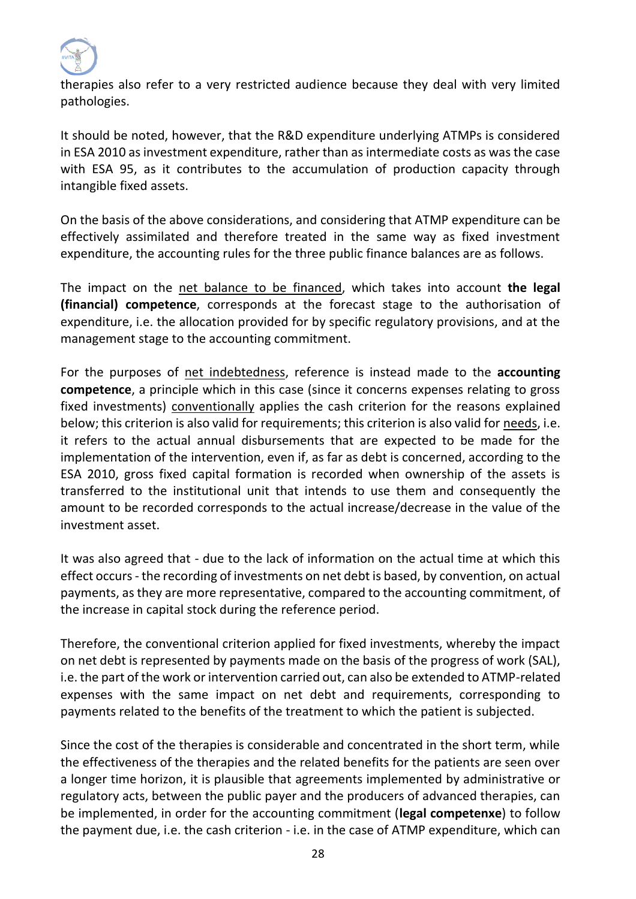

therapies also refer to a very restricted audience because they deal with very limited pathologies.

It should be noted, however, that the R&D expenditure underlying ATMPs is considered in ESA 2010 as investment expenditure, rather than as intermediate costs as was the case with ESA 95, as it contributes to the accumulation of production capacity through intangible fixed assets.

On the basis of the above considerations, and considering that ATMP expenditure can be effectively assimilated and therefore treated in the same way as fixed investment expenditure, the accounting rules for the three public finance balances are as follows.

The impact on the net balance to be financed, which takes into account **the legal (financial) competence**, corresponds at the forecast stage to the authorisation of expenditure, i.e. the allocation provided for by specific regulatory provisions, and at the management stage to the accounting commitment.

For the purposes of net indebtedness, reference is instead made to the **accounting competence**, a principle which in this case (since it concerns expenses relating to gross fixed investments) conventionally applies the cash criterion for the reasons explained below; this criterion is also valid for requirements; this criterion is also valid for needs, i.e. it refers to the actual annual disbursements that are expected to be made for the implementation of the intervention, even if, as far as debt is concerned, according to the ESA 2010, gross fixed capital formation is recorded when ownership of the assets is transferred to the institutional unit that intends to use them and consequently the amount to be recorded corresponds to the actual increase/decrease in the value of the investment asset.

It was also agreed that - due to the lack of information on the actual time at which this effect occurs - the recording of investments on net debt is based, by convention, on actual payments, as they are more representative, compared to the accounting commitment, of the increase in capital stock during the reference period.

Therefore, the conventional criterion applied for fixed investments, whereby the impact on net debt is represented by payments made on the basis of the progress of work (SAL), i.e. the part of the work or intervention carried out, can also be extended to ATMP-related expenses with the same impact on net debt and requirements, corresponding to payments related to the benefits of the treatment to which the patient is subjected.

Since the cost of the therapies is considerable and concentrated in the short term, while the effectiveness of the therapies and the related benefits for the patients are seen over a longer time horizon, it is plausible that agreements implemented by administrative or regulatory acts, between the public payer and the producers of advanced therapies, can be implemented, in order for the accounting commitment (**legal competenxe**) to follow the payment due, i.e. the cash criterion - i.e. in the case of ATMP expenditure, which can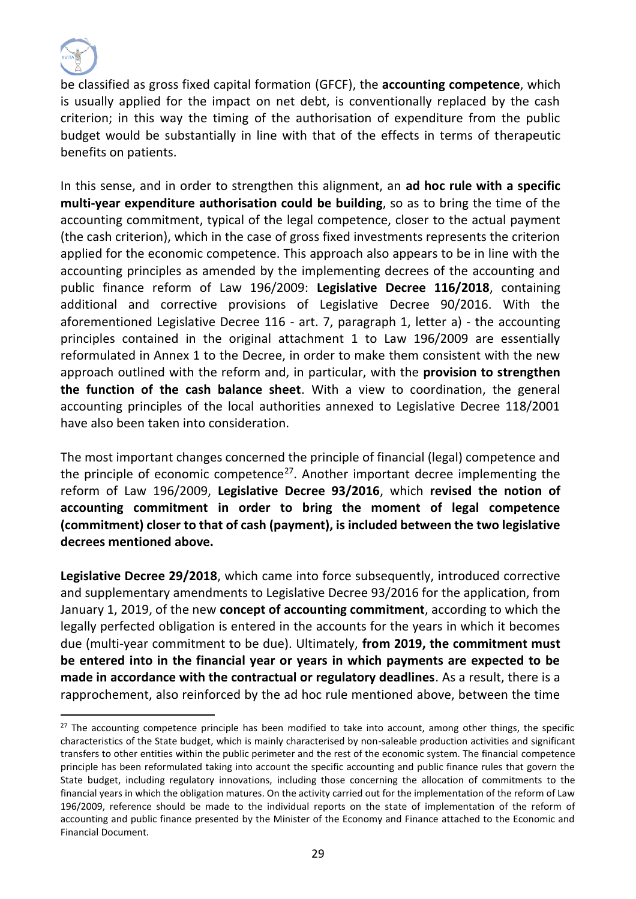

be classified as gross fixed capital formation (GFCF), the **accounting competence**, which is usually applied for the impact on net debt, is conventionally replaced by the cash criterion; in this way the timing of the authorisation of expenditure from the public budget would be substantially in line with that of the effects in terms of therapeutic benefits on patients.

In this sense, and in order to strengthen this alignment, an **ad hoc rule with a specific multi-year expenditure authorisation could be building**, so as to bring the time of the accounting commitment, typical of the legal competence, closer to the actual payment (the cash criterion), which in the case of gross fixed investments represents the criterion applied for the economic competence. This approach also appears to be in line with the accounting principles as amended by the implementing decrees of the accounting and public finance reform of Law 196/2009: **Legislative Decree 116/2018**, containing additional and corrective provisions of Legislative Decree 90/2016. With the aforementioned Legislative Decree 116 - art. 7, paragraph 1, letter a) - the accounting principles contained in the original attachment 1 to Law 196/2009 are essentially reformulated in Annex 1 to the Decree, in order to make them consistent with the new approach outlined with the reform and, in particular, with the **provision to strengthen the function of the cash balance sheet**. With a view to coordination, the general accounting principles of the local authorities annexed to Legislative Decree 118/2001 have also been taken into consideration.

The most important changes concerned the principle of financial (legal) competence and the principle of economic competence<sup>27</sup>. Another important decree implementing the reform of Law 196/2009, **Legislative Decree 93/2016**, which **revised the notion of accounting commitment in order to bring the moment of legal competence (commitment) closer to that of cash (payment), is included between the two legislative decrees mentioned above.** 

**Legislative Decree 29/2018**, which came into force subsequently, introduced corrective and supplementary amendments to Legislative Decree 93/2016 for the application, from January 1, 2019, of the new **concept of accounting commitment**, according to which the legally perfected obligation is entered in the accounts for the years in which it becomes due (multi-year commitment to be due). Ultimately, **from 2019, the commitment must be entered into in the financial year or years in which payments are expected to be made in accordance with the contractual or regulatory deadlines**. As a result, there is a rapprochement, also reinforced by the ad hoc rule mentioned above, between the time

<sup>&</sup>lt;sup>27</sup> The accounting competence principle has been modified to take into account, among other things, the specific characteristics of the State budget, which is mainly characterised by non-saleable production activities and significant transfers to other entities within the public perimeter and the rest of the economic system. The financial competence principle has been reformulated taking into account the specific accounting and public finance rules that govern the State budget, including regulatory innovations, including those concerning the allocation of commitments to the financial years in which the obligation matures. On the activity carried out for the implementation of the reform of Law 196/2009, reference should be made to the individual reports on the state of implementation of the reform of accounting and public finance presented by the Minister of the Economy and Finance attached to the Economic and Financial Document.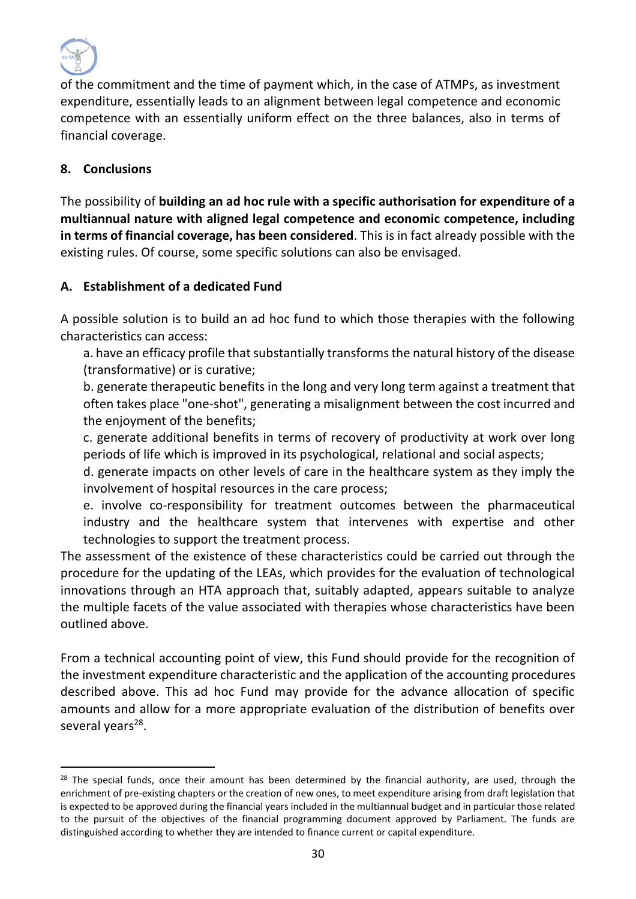

of the commitment and the time of payment which, in the case of ATMPs, as investment expenditure, essentially leads to an alignment between legal competence and economic competence with an essentially uniform effect on the three balances, also in terms of financial coverage.

### **8. Conclusions**

The possibility of **building an ad hoc rule with a specific authorisation for expenditure of a multiannual nature with aligned legal competence and economic competence, including in terms of financial coverage, has been considered**. This is in fact already possible with the existing rules. Of course, some specific solutions can also be envisaged.

### **A. Establishment of a dedicated Fund**

A possible solution is to build an ad hoc fund to which those therapies with the following characteristics can access:

a. have an efficacy profile that substantially transforms the natural history of the disease (transformative) or is curative;

b. generate therapeutic benefits in the long and very long term against a treatment that often takes place "one-shot", generating a misalignment between the cost incurred and the enjoyment of the benefits;

c. generate additional benefits in terms of recovery of productivity at work over long periods of life which is improved in its psychological, relational and social aspects;

d. generate impacts on other levels of care in the healthcare system as they imply the involvement of hospital resources in the care process;

e. involve co-responsibility for treatment outcomes between the pharmaceutical industry and the healthcare system that intervenes with expertise and other technologies to support the treatment process.

The assessment of the existence of these characteristics could be carried out through the procedure for the updating of the LEAs, which provides for the evaluation of technological innovations through an HTA approach that, suitably adapted, appears suitable to analyze the multiple facets of the value associated with therapies whose characteristics have been outlined above.

From a technical accounting point of view, this Fund should provide for the recognition of the investment expenditure characteristic and the application of the accounting procedures described above. This ad hoc Fund may provide for the advance allocation of specific amounts and allow for a more appropriate evaluation of the distribution of benefits over several years<sup>28</sup>.

 $28$  The special funds, once their amount has been determined by the financial authority, are used, through the enrichment of pre-existing chapters or the creation of new ones, to meet expenditure arising from draft legislation that is expected to be approved during the financial years included in the multiannual budget and in particular those related to the pursuit of the objectives of the financial programming document approved by Parliament. The funds are distinguished according to whether they are intended to finance current or capital expenditure.